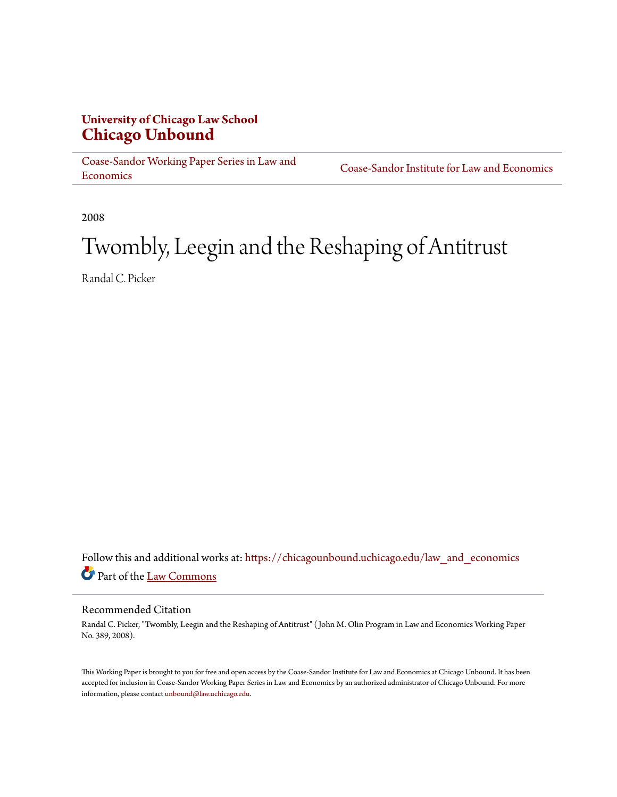#### **University of Chicago Law School [Chicago Unbound](https://chicagounbound.uchicago.edu?utm_source=chicagounbound.uchicago.edu%2Flaw_and_economics%2F601&utm_medium=PDF&utm_campaign=PDFCoverPages)**

[Coase-Sandor Working Paper Series in Law and](https://chicagounbound.uchicago.edu/law_and_economics?utm_source=chicagounbound.uchicago.edu%2Flaw_and_economics%2F601&utm_medium=PDF&utm_campaign=PDFCoverPages) [Economics](https://chicagounbound.uchicago.edu/law_and_economics?utm_source=chicagounbound.uchicago.edu%2Flaw_and_economics%2F601&utm_medium=PDF&utm_campaign=PDFCoverPages)

[Coase-Sandor Institute for Law and Economics](https://chicagounbound.uchicago.edu/coase_sandor_institute?utm_source=chicagounbound.uchicago.edu%2Flaw_and_economics%2F601&utm_medium=PDF&utm_campaign=PDFCoverPages)

2008

## Twombly, Leegin and the Reshaping of Antitrust

Randal C. Picker

Follow this and additional works at: [https://chicagounbound.uchicago.edu/law\\_and\\_economics](https://chicagounbound.uchicago.edu/law_and_economics?utm_source=chicagounbound.uchicago.edu%2Flaw_and_economics%2F601&utm_medium=PDF&utm_campaign=PDFCoverPages) Part of the [Law Commons](http://network.bepress.com/hgg/discipline/578?utm_source=chicagounbound.uchicago.edu%2Flaw_and_economics%2F601&utm_medium=PDF&utm_campaign=PDFCoverPages)

#### Recommended Citation

Randal C. Picker, "Twombly, Leegin and the Reshaping of Antitrust" ( John M. Olin Program in Law and Economics Working Paper No. 389, 2008).

This Working Paper is brought to you for free and open access by the Coase-Sandor Institute for Law and Economics at Chicago Unbound. It has been accepted for inclusion in Coase-Sandor Working Paper Series in Law and Economics by an authorized administrator of Chicago Unbound. For more information, please contact [unbound@law.uchicago.edu.](mailto:unbound@law.uchicago.edu)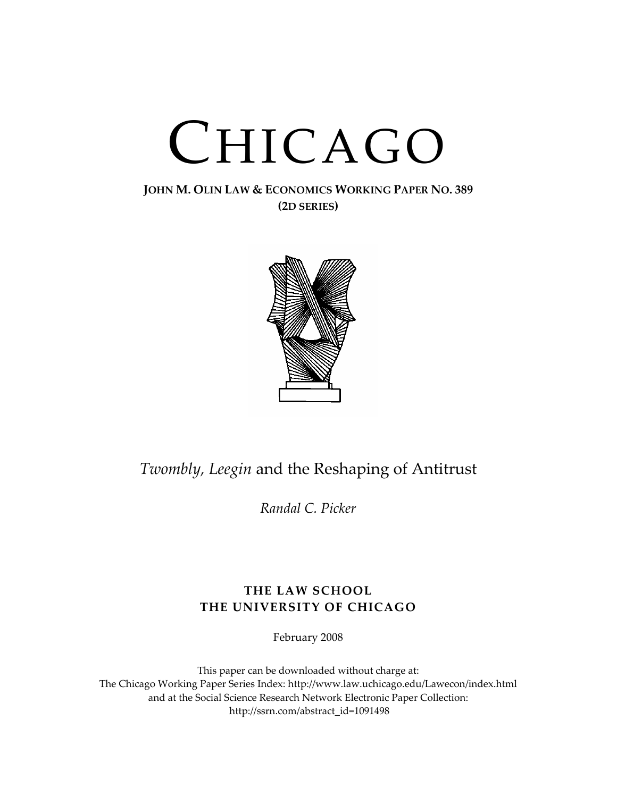# CHICAGO

#### **JOHN M. OLIN LAW & ECONOMICS WORKING PAPER NO. 389 (2D SERIES)**



### *Twombly, Leegin* and the Reshaping of Antitrust

*Randal C. Picker*

#### **THE LAW SCHOOL THE UNIVERSITY OF CHICAGO**

February 2008

This paper can be downloaded without charge at: The Chicago Working Paper Series Index: http://www.law.uchicago.edu/Lawecon/index.html and at the Social Science Research Network Electronic Paper Collection: http://ssrn.com/abstract\_id=1091498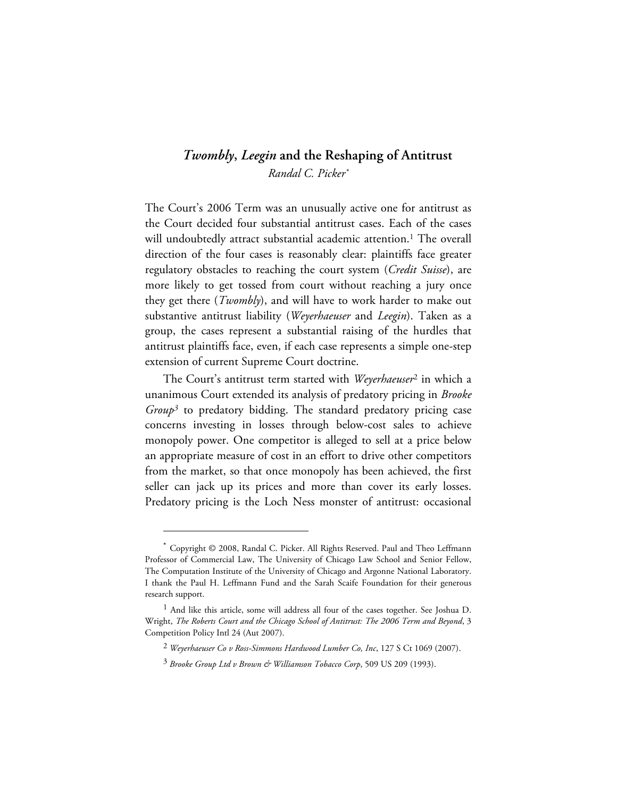#### *Twombly***,** *Leegin* **and the Reshaping of Antitrust**  *Randal C. Picker\**

The Court's 2006 Term was an unusually active one for antitrust as the Court decided four substantial antitrust cases. Each of the cases will undoubtedly attract substantial academic attention.<sup>1</sup> The overall direction of the four cases is reasonably clear: plaintiffs face greater regulatory obstacles to reaching the court system (*Credit Suisse*), are more likely to get tossed from court without reaching a jury once they get there (*Twombly*), and will have to work harder to make out substantive antitrust liability (*Weyerhaeuser* and *Leegin*). Taken as a group, the cases represent a substantial raising of the hurdles that antitrust plaintiffs face, even, if each case represents a simple one-step extension of current Supreme Court doctrine.

The Court's antitrust term started with *Weyerhaeuser*2 in which a unanimous Court extended its analysis of predatory pricing in *Brooke Group3* to predatory bidding. The standard predatory pricing case concerns investing in losses through below-cost sales to achieve monopoly power. One competitor is alleged to sell at a price below an appropriate measure of cost in an effort to drive other competitors from the market, so that once monopoly has been achieved, the first seller can jack up its prices and more than cover its early losses. Predatory pricing is the Loch Ness monster of antitrust: occasional

<sup>\*</sup> Copyright © 2008, Randal C. Picker. All Rights Reserved. Paul and Theo Leffmann Professor of Commercial Law, The University of Chicago Law School and Senior Fellow, The Computation Institute of the University of Chicago and Argonne National Laboratory. I thank the Paul H. Leffmann Fund and the Sarah Scaife Foundation for their generous research support.

<sup>&</sup>lt;sup>1</sup> And like this article, some will address all four of the cases together. See Joshua D. Wright, *The Roberts Court and the Chicago School of Antitrust: The 2006 Term and Beyond*, 3 Competition Policy Intl 24 (Aut 2007).

<sup>2</sup> *Weyerhaeuser Co v Ross-Simmons Hardwood Lumber Co, Inc*, 127 S Ct 1069 (2007).

<sup>3</sup> *Brooke Group Ltd v Brown & Williamson Tobacco Corp*, 509 US 209 (1993).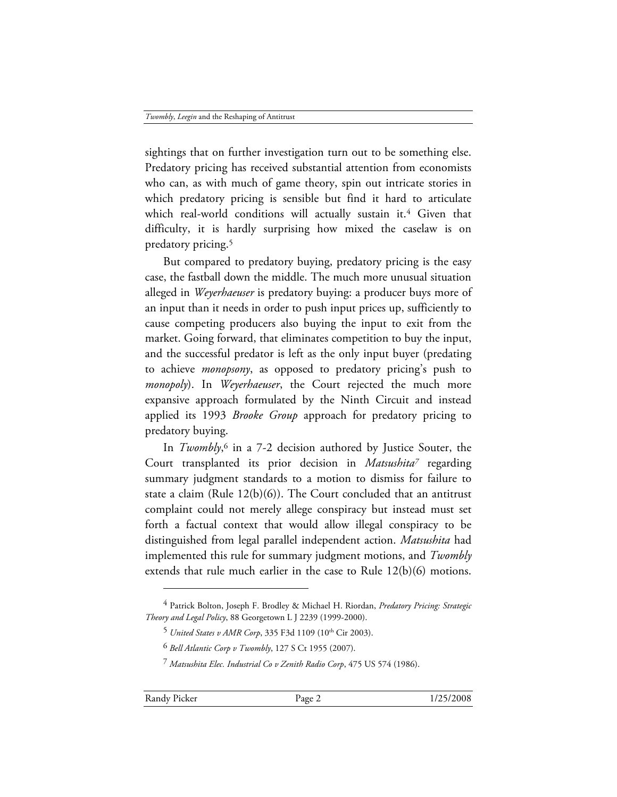sightings that on further investigation turn out to be something else. Predatory pricing has received substantial attention from economists who can, as with much of game theory, spin out intricate stories in which predatory pricing is sensible but find it hard to articulate which real-world conditions will actually sustain it.<sup>4</sup> Given that difficulty, it is hardly surprising how mixed the caselaw is on predatory pricing.5

But compared to predatory buying, predatory pricing is the easy case, the fastball down the middle. The much more unusual situation alleged in *Weyerhaeuser* is predatory buying: a producer buys more of an input than it needs in order to push input prices up, sufficiently to cause competing producers also buying the input to exit from the market. Going forward, that eliminates competition to buy the input, and the successful predator is left as the only input buyer (predating to achieve *monopsony*, as opposed to predatory pricing's push to *monopoly*). In *Weyerhaeuser*, the Court rejected the much more expansive approach formulated by the Ninth Circuit and instead applied its 1993 *Brooke Group* approach for predatory pricing to predatory buying.

In *Twombly*,<sup>6</sup> in a 7-2 decision authored by Justice Souter, the Court transplanted its prior decision in *Matsushita7* regarding summary judgment standards to a motion to dismiss for failure to state a claim (Rule 12(b)(6)). The Court concluded that an antitrust complaint could not merely allege conspiracy but instead must set forth a factual context that would allow illegal conspiracy to be distinguished from legal parallel independent action. *Matsushita* had implemented this rule for summary judgment motions, and *Twombly* extends that rule much earlier in the case to Rule 12(b)(6) motions.

<sup>4</sup> Patrick Bolton, Joseph F. Brodley & Michael H. Riordan, *Predatory Pricing: Strategic Theory and Legal Policy*, 88 Georgetown L J 2239 (1999-2000).

<sup>5</sup> *United States v AMR Corp*, 335 F3d 1109 (10th Cir 2003).

<sup>6</sup> *Bell Atlantic Corp v Twombly*, 127 S Ct 1955 (2007).

<sup>7</sup> *Matsushita Elec. Industrial Co v Zenith Radio Corp*, 475 US 574 (1986).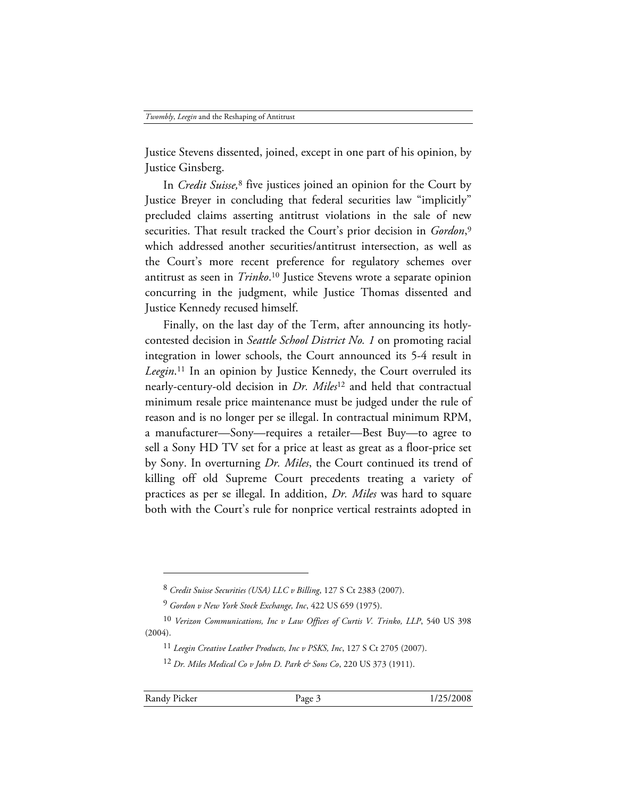Justice Stevens dissented, joined, except in one part of his opinion, by Justice Ginsberg.

In *Credit Suisse,*8 five justices joined an opinion for the Court by Justice Breyer in concluding that federal securities law "implicitly" precluded claims asserting antitrust violations in the sale of new securities. That result tracked the Court's prior decision in *Gordon*,9 which addressed another securities/antitrust intersection, as well as the Court's more recent preference for regulatory schemes over antitrust as seen in *Trinko*. 10 Justice Stevens wrote a separate opinion concurring in the judgment, while Justice Thomas dissented and Justice Kennedy recused himself.

Finally, on the last day of the Term, after announcing its hotlycontested decision in *Seattle School District No. 1* on promoting racial integration in lower schools, the Court announced its 5-4 result in *Leegin*.11 In an opinion by Justice Kennedy, the Court overruled its nearly-century-old decision in *Dr. Miles*12 and held that contractual minimum resale price maintenance must be judged under the rule of reason and is no longer per se illegal. In contractual minimum RPM, a manufacturer—Sony—requires a retailer—Best Buy—to agree to sell a Sony HD TV set for a price at least as great as a floor-price set by Sony. In overturning *Dr. Miles*, the Court continued its trend of killing off old Supreme Court precedents treating a variety of practices as per se illegal. In addition, *Dr. Miles* was hard to square both with the Court's rule for nonprice vertical restraints adopted in

-

<sup>8</sup> *Credit Suisse Securities (USA) LLC v Billing*, 127 S Ct 2383 (2007).

<sup>9</sup> *Gordon v New York Stock Exchange, Inc*, 422 US 659 (1975).

<sup>10</sup> *Verizon Communications, Inc v Law Offices of Curtis V. Trinko, LLP*, 540 US 398 (2004).

<sup>11</sup> *Leegin Creative Leather Products, Inc v PSKS, Inc*, 127 S Ct 2705 (2007).

<sup>12</sup> *Dr. Miles Medical Co v John D. Park & Sons Co*, 220 US 373 (1911).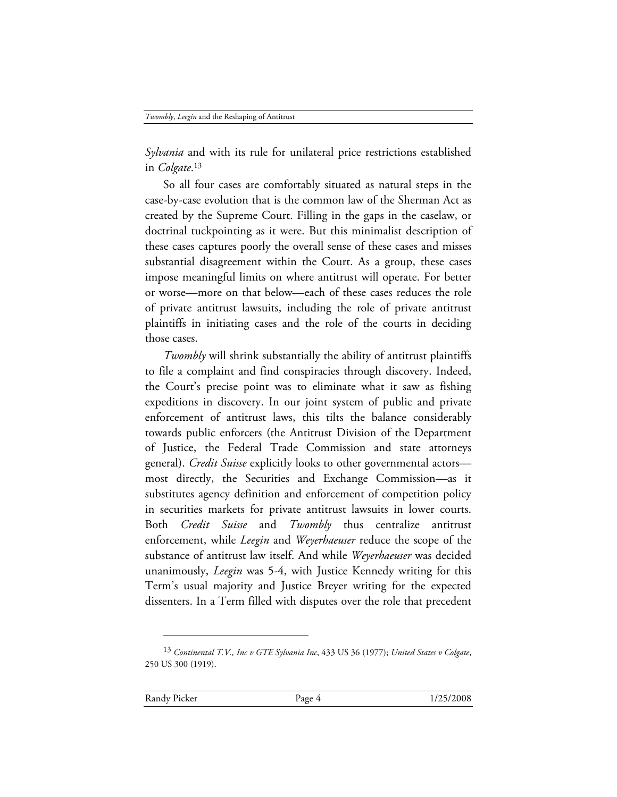*Sylvania* and with its rule for unilateral price restrictions established in *Colgate*.13

So all four cases are comfortably situated as natural steps in the case-by-case evolution that is the common law of the Sherman Act as created by the Supreme Court. Filling in the gaps in the caselaw, or doctrinal tuckpointing as it were. But this minimalist description of these cases captures poorly the overall sense of these cases and misses substantial disagreement within the Court. As a group, these cases impose meaningful limits on where antitrust will operate. For better or worse—more on that below—each of these cases reduces the role of private antitrust lawsuits, including the role of private antitrust plaintiffs in initiating cases and the role of the courts in deciding those cases.

*Twombly* will shrink substantially the ability of antitrust plaintiffs to file a complaint and find conspiracies through discovery. Indeed, the Court's precise point was to eliminate what it saw as fishing expeditions in discovery. In our joint system of public and private enforcement of antitrust laws, this tilts the balance considerably towards public enforcers (the Antitrust Division of the Department of Justice, the Federal Trade Commission and state attorneys general). *Credit Suisse* explicitly looks to other governmental actors most directly, the Securities and Exchange Commission—as it substitutes agency definition and enforcement of competition policy in securities markets for private antitrust lawsuits in lower courts. Both *Credit Suisse* and *Twombly* thus centralize antitrust enforcement, while *Leegin* and *Weyerhaeuser* reduce the scope of the substance of antitrust law itself. And while *Weyerhaeuser* was decided unanimously, *Leegin* was 5-4, with Justice Kennedy writing for this Term's usual majority and Justice Breyer writing for the expected dissenters. In a Term filled with disputes over the role that precedent

| Randy Picker | Page 4 | 1/25/2008 |
|--------------|--------|-----------|
|--------------|--------|-----------|

<sup>13</sup> *Continental T.V., Inc v GTE Sylvania Inc*, 433 US 36 (1977); *United States v Colgate*, 250 US 300 (1919).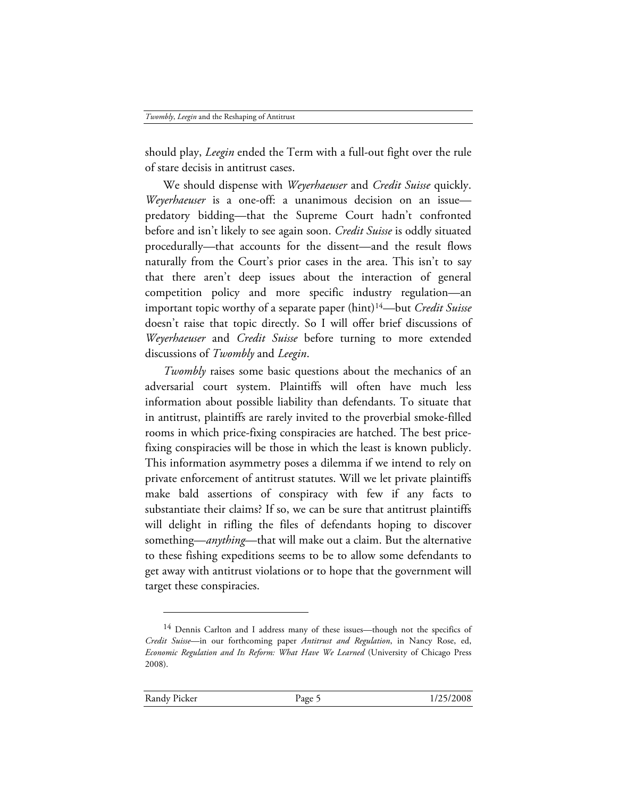should play, *Leegin* ended the Term with a full-out fight over the rule of stare decisis in antitrust cases.

We should dispense with *Weyerhaeuser* and *Credit Suisse* quickly. *Weyerhaeuser* is a one-off: a unanimous decision on an issue predatory bidding—that the Supreme Court hadn't confronted before and isn't likely to see again soon. *Credit Suisse* is oddly situated procedurally—that accounts for the dissent—and the result flows naturally from the Court's prior cases in the area. This isn't to say that there aren't deep issues about the interaction of general competition policy and more specific industry regulation—an important topic worthy of a separate paper (hint)14—but *Credit Suisse* doesn't raise that topic directly. So I will offer brief discussions of *Weyerhaeuser* and *Credit Suisse* before turning to more extended discussions of *Twombly* and *Leegin*.

*Twombly* raises some basic questions about the mechanics of an adversarial court system. Plaintiffs will often have much less information about possible liability than defendants. To situate that in antitrust, plaintiffs are rarely invited to the proverbial smoke-filled rooms in which price-fixing conspiracies are hatched. The best pricefixing conspiracies will be those in which the least is known publicly. This information asymmetry poses a dilemma if we intend to rely on private enforcement of antitrust statutes. Will we let private plaintiffs make bald assertions of conspiracy with few if any facts to substantiate their claims? If so, we can be sure that antitrust plaintiffs will delight in rifling the files of defendants hoping to discover something—*anything*—that will make out a claim. But the alternative to these fishing expeditions seems to be to allow some defendants to get away with antitrust violations or to hope that the government will target these conspiracies.

<sup>&</sup>lt;sup>14</sup> Dennis Carlton and I address many of these issues—though not the specifics of *Credit Suisse*—in our forthcoming paper *Antitrust and Regulation*, in Nancy Rose, ed, *Economic Regulation and Its Reform: What Have We Learned* (University of Chicago Press 2008).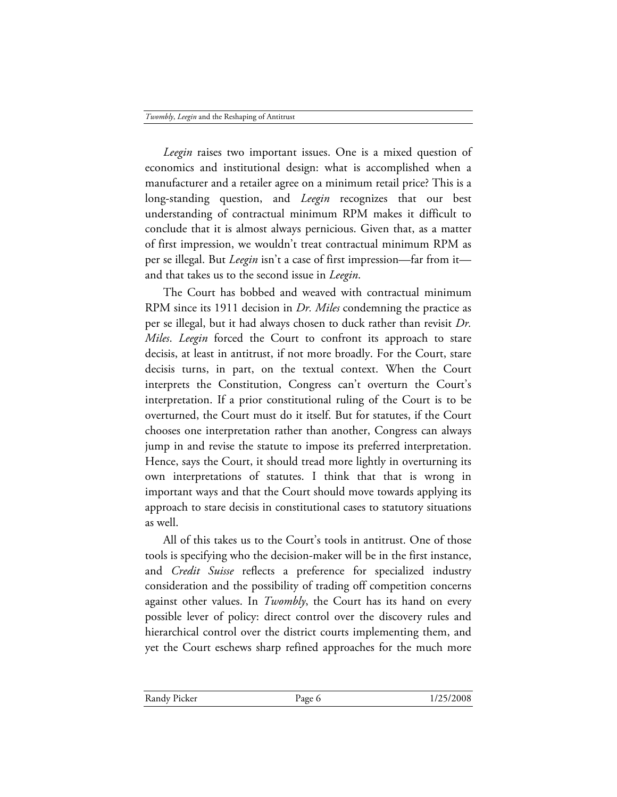*Leegin* raises two important issues. One is a mixed question of economics and institutional design: what is accomplished when a manufacturer and a retailer agree on a minimum retail price? This is a long-standing question, and *Leegin* recognizes that our best understanding of contractual minimum RPM makes it difficult to conclude that it is almost always pernicious. Given that, as a matter of first impression, we wouldn't treat contractual minimum RPM as per se illegal. But *Leegin* isn't a case of first impression—far from it and that takes us to the second issue in *Leegin*.

The Court has bobbed and weaved with contractual minimum RPM since its 1911 decision in *Dr. Miles* condemning the practice as per se illegal, but it had always chosen to duck rather than revisit *Dr. Miles*. *Leegin* forced the Court to confront its approach to stare decisis, at least in antitrust, if not more broadly. For the Court, stare decisis turns, in part, on the textual context. When the Court interprets the Constitution, Congress can't overturn the Court's interpretation. If a prior constitutional ruling of the Court is to be overturned, the Court must do it itself. But for statutes, if the Court chooses one interpretation rather than another, Congress can always jump in and revise the statute to impose its preferred interpretation. Hence, says the Court, it should tread more lightly in overturning its own interpretations of statutes. I think that that is wrong in important ways and that the Court should move towards applying its approach to stare decisis in constitutional cases to statutory situations as well.

All of this takes us to the Court's tools in antitrust. One of those tools is specifying who the decision-maker will be in the first instance, and *Credit Suisse* reflects a preference for specialized industry consideration and the possibility of trading off competition concerns against other values. In *Twombly*, the Court has its hand on every possible lever of policy: direct control over the discovery rules and hierarchical control over the district courts implementing them, and yet the Court eschews sharp refined approaches for the much more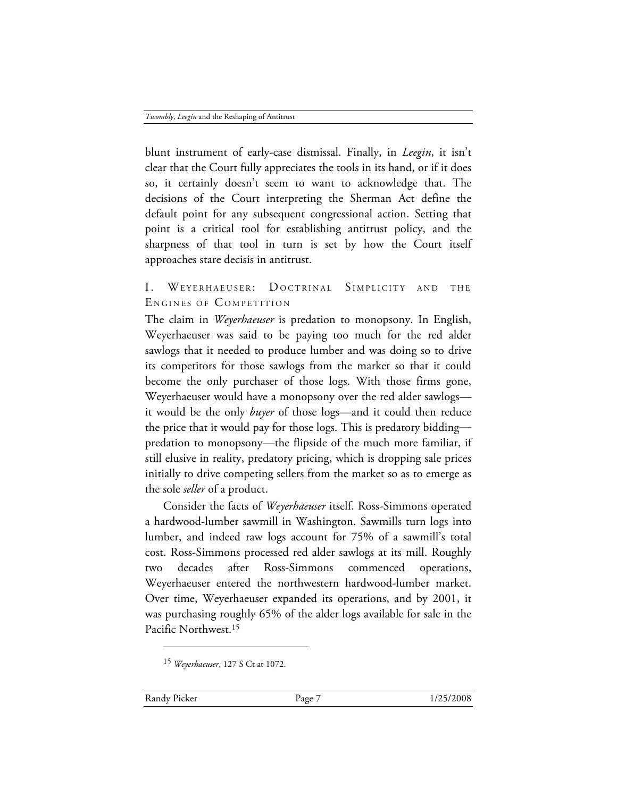blunt instrument of early-case dismissal. Finally, in *Leegin*, it isn't clear that the Court fully appreciates the tools in its hand, or if it does so, it certainly doesn't seem to want to acknowledge that. The decisions of the Court interpreting the Sherman Act define the default point for any subsequent congressional action. Setting that point is a critical tool for establishing antitrust policy, and the sharpness of that tool in turn is set by how the Court itself approaches stare decisis in antitrust.

#### I. WEYERHAEUSER: DOCTRINAL SIMPLICITY AND THE ENGINES OF COMPETITION

The claim in *Weyerhaeuser* is predation to monopsony. In English, Weyerhaeuser was said to be paying too much for the red alder sawlogs that it needed to produce lumber and was doing so to drive its competitors for those sawlogs from the market so that it could become the only purchaser of those logs. With those firms gone, Weyerhaeuser would have a monopsony over the red alder sawlogs it would be the only *buyer* of those logs—and it could then reduce the price that it would pay for those logs. This is predatory bidding predation to monopsony—the flipside of the much more familiar, if still elusive in reality, predatory pricing, which is dropping sale prices initially to drive competing sellers from the market so as to emerge as the sole *seller* of a product.

Consider the facts of *Weyerhaeuser* itself. Ross-Simmons operated a hardwood-lumber sawmill in Washington. Sawmills turn logs into lumber, and indeed raw logs account for 75% of a sawmill's total cost. Ross-Simmons processed red alder sawlogs at its mill. Roughly two decades after Ross-Simmons commenced operations, Weyerhaeuser entered the northwestern hardwood-lumber market. Over time, Weyerhaeuser expanded its operations, and by 2001, it was purchasing roughly 65% of the alder logs available for sale in the Pacific Northwest.15

<sup>15</sup> *Weyerhaeuser*, 127 S Ct at 1072.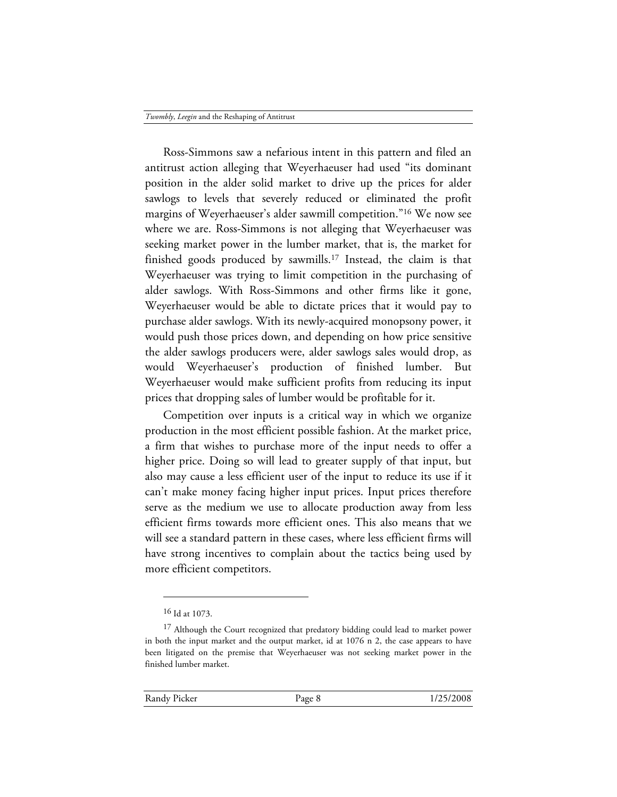Ross-Simmons saw a nefarious intent in this pattern and filed an antitrust action alleging that Weyerhaeuser had used "its dominant position in the alder solid market to drive up the prices for alder sawlogs to levels that severely reduced or eliminated the profit margins of Weyerhaeuser's alder sawmill competition."16 We now see where we are. Ross-Simmons is not alleging that Weyerhaeuser was seeking market power in the lumber market, that is, the market for finished goods produced by sawmills.17 Instead, the claim is that Weyerhaeuser was trying to limit competition in the purchasing of alder sawlogs. With Ross-Simmons and other firms like it gone, Weyerhaeuser would be able to dictate prices that it would pay to purchase alder sawlogs. With its newly-acquired monopsony power, it would push those prices down, and depending on how price sensitive the alder sawlogs producers were, alder sawlogs sales would drop, as would Weyerhaeuser's production of finished lumber. But Weyerhaeuser would make sufficient profits from reducing its input prices that dropping sales of lumber would be profitable for it.

Competition over inputs is a critical way in which we organize production in the most efficient possible fashion. At the market price, a firm that wishes to purchase more of the input needs to offer a higher price. Doing so will lead to greater supply of that input, but also may cause a less efficient user of the input to reduce its use if it can't make money facing higher input prices. Input prices therefore serve as the medium we use to allocate production away from less efficient firms towards more efficient ones. This also means that we will see a standard pattern in these cases, where less efficient firms will have strong incentives to complain about the tactics being used by more efficient competitors.

<sup>16</sup> Id at 1073.

 $17$  Although the Court recognized that predatory bidding could lead to market power in both the input market and the output market, id at 1076 n 2, the case appears to have been litigated on the premise that Weyerhaeuser was not seeking market power in the finished lumber market.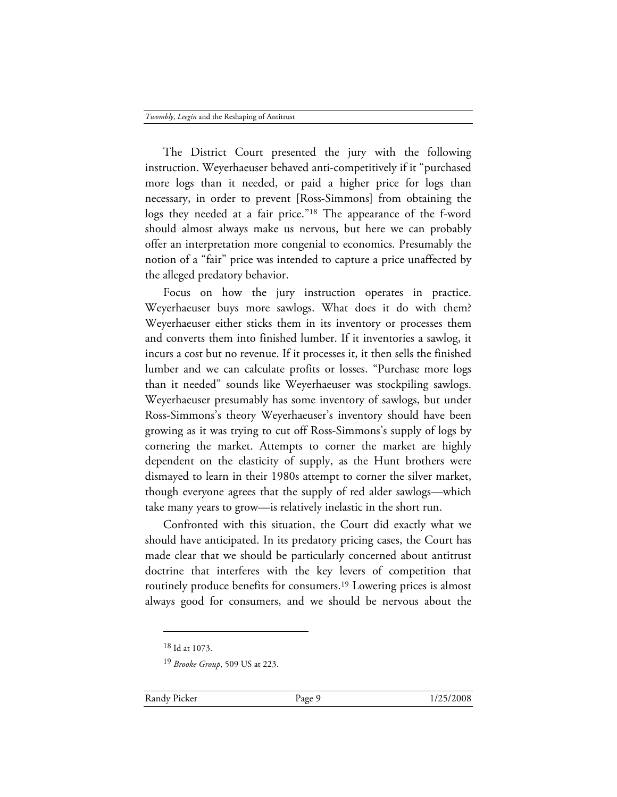The District Court presented the jury with the following instruction. Weyerhaeuser behaved anti-competitively if it "purchased more logs than it needed, or paid a higher price for logs than necessary, in order to prevent [Ross-Simmons] from obtaining the logs they needed at a fair price."<sup>18</sup> The appearance of the f-word should almost always make us nervous, but here we can probably offer an interpretation more congenial to economics. Presumably the notion of a "fair" price was intended to capture a price unaffected by the alleged predatory behavior.

Focus on how the jury instruction operates in practice. Weyerhaeuser buys more sawlogs. What does it do with them? Weyerhaeuser either sticks them in its inventory or processes them and converts them into finished lumber. If it inventories a sawlog, it incurs a cost but no revenue. If it processes it, it then sells the finished lumber and we can calculate profits or losses. "Purchase more logs than it needed" sounds like Weyerhaeuser was stockpiling sawlogs. Weyerhaeuser presumably has some inventory of sawlogs, but under Ross-Simmons's theory Weyerhaeuser's inventory should have been growing as it was trying to cut off Ross-Simmons's supply of logs by cornering the market. Attempts to corner the market are highly dependent on the elasticity of supply, as the Hunt brothers were dismayed to learn in their 1980s attempt to corner the silver market, though everyone agrees that the supply of red alder sawlogs—which take many years to grow—is relatively inelastic in the short run.

Confronted with this situation, the Court did exactly what we should have anticipated. In its predatory pricing cases, the Court has made clear that we should be particularly concerned about antitrust doctrine that interferes with the key levers of competition that routinely produce benefits for consumers.<sup>19</sup> Lowering prices is almost always good for consumers, and we should be nervous about the

<sup>18</sup> Id at 1073.

<sup>19</sup> *Brooke Group*, 509 US at 223.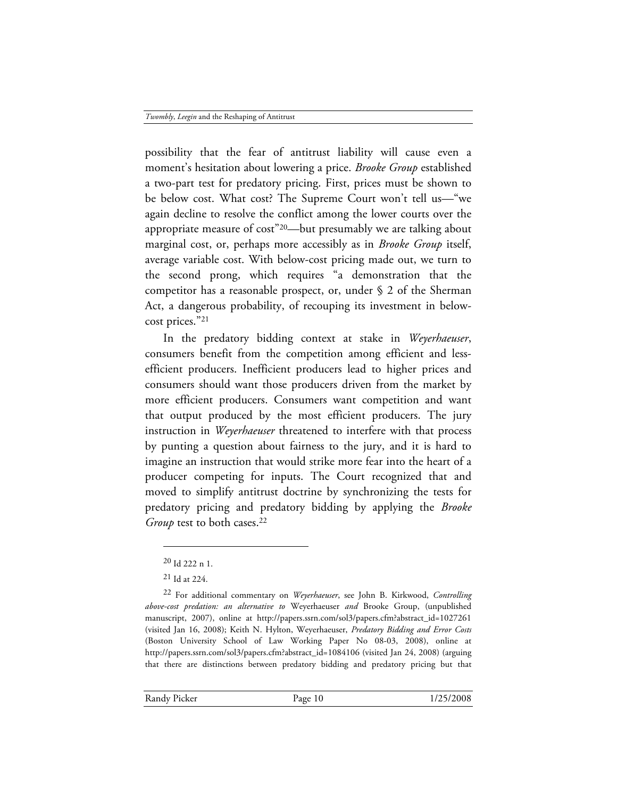possibility that the fear of antitrust liability will cause even a moment's hesitation about lowering a price. *Brooke Group* established a two-part test for predatory pricing. First, prices must be shown to be below cost. What cost? The Supreme Court won't tell us—"we again decline to resolve the conflict among the lower courts over the appropriate measure of cost"20—but presumably we are talking about marginal cost, or, perhaps more accessibly as in *Brooke Group* itself, average variable cost. With below-cost pricing made out, we turn to the second prong, which requires "a demonstration that the competitor has a reasonable prospect, or, under § 2 of the Sherman Act, a dangerous probability, of recouping its investment in belowcost prices."21

In the predatory bidding context at stake in *Weyerhaeuser*, consumers benefit from the competition among efficient and lessefficient producers. Inefficient producers lead to higher prices and consumers should want those producers driven from the market by more efficient producers. Consumers want competition and want that output produced by the most efficient producers. The jury instruction in *Weyerhaeuser* threatened to interfere with that process by punting a question about fairness to the jury, and it is hard to imagine an instruction that would strike more fear into the heart of a producer competing for inputs. The Court recognized that and moved to simplify antitrust doctrine by synchronizing the tests for predatory pricing and predatory bidding by applying the *Brooke Group* test to both cases.<sup>22</sup>

-

<sup>20</sup> Id 222 n 1.

<sup>21</sup> Id at 224.

<sup>22</sup> For additional commentary on *Weyerhaeuser*, see John B. Kirkwood, *Controlling above-cost predation: an alternative to* Weyerhaeuser *and* Brooke Group, (unpublished manuscript, 2007), online at http://papers.ssrn.com/sol3/papers.cfm?abstract\_id=1027261 (visited Jan 16, 2008); Keith N. Hylton, Weyerhaeuser, *Predatory Bidding and Error Costs* (Boston University School of Law Working Paper No 08-03, 2008), online at http://papers.ssrn.com/sol3/papers.cfm?abstract\_id=1084106 (visited Jan 24, 2008) (arguing that there are distinctions between predatory bidding and predatory pricing but that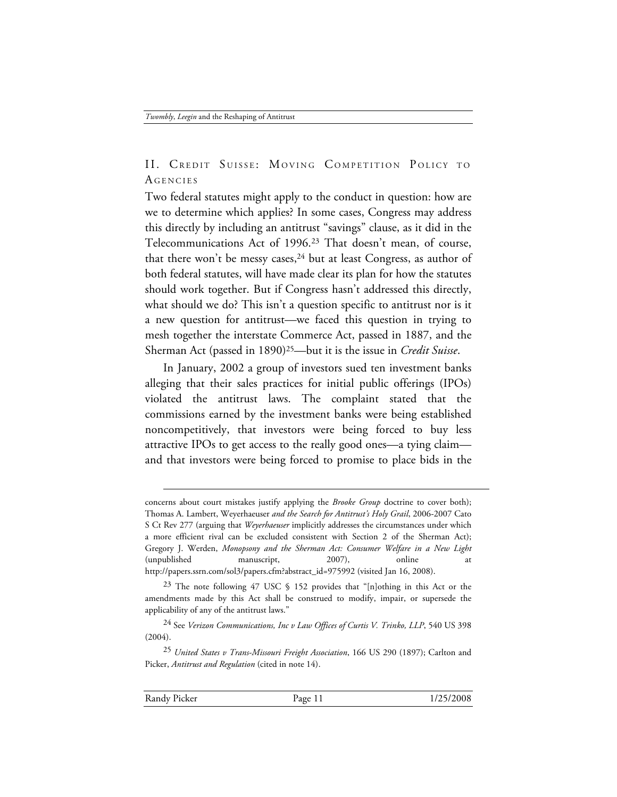-

#### II. CREDIT SUISSE: MOVING COMPETITION POLICY TO **AGENCIES**

Two federal statutes might apply to the conduct in question: how are we to determine which applies? In some cases, Congress may address this directly by including an antitrust "savings" clause, as it did in the Telecommunications Act of 1996.23 That doesn't mean, of course, that there won't be messy cases,  $24$  but at least Congress, as author of both federal statutes, will have made clear its plan for how the statutes should work together. But if Congress hasn't addressed this directly, what should we do? This isn't a question specific to antitrust nor is it a new question for antitrust—we faced this question in trying to mesh together the interstate Commerce Act, passed in 1887, and the Sherman Act (passed in 1890)25—but it is the issue in *Credit Suisse*.

In January, 2002 a group of investors sued ten investment banks alleging that their sales practices for initial public offerings (IPOs) violated the antitrust laws. The complaint stated that the commissions earned by the investment banks were being established noncompetitively, that investors were being forced to buy less attractive IPOs to get access to the really good ones—a tying claim and that investors were being forced to promise to place bids in the

| Randy Picker | Page 11 | 1/25/2008 |
|--------------|---------|-----------|
|--------------|---------|-----------|

concerns about court mistakes justify applying the *Brooke Group* doctrine to cover both); Thomas A. Lambert, Weyerhaeuser *and the Search for Antitrust's Holy Grail*, 2006-2007 Cato S Ct Rev 277 (arguing that *Weyerhaeuser* implicitly addresses the circumstances under which a more efficient rival can be excluded consistent with Section 2 of the Sherman Act); Gregory J. Werden, *Monopsony and the Sherman Act: Consumer Welfare in a New Light* (unpublished manuscript, 2007), online at http://papers.ssrn.com/sol3/papers.cfm?abstract\_id=975992 (visited Jan 16, 2008).

<sup>23</sup> The note following 47 USC § 152 provides that "[n]othing in this Act or the amendments made by this Act shall be construed to modify, impair, or supersede the applicability of any of the antitrust laws."

<sup>24</sup> See *Verizon Communications, Inc v Law Offices of Curtis V. Trinko, LLP*, 540 US 398 (2004).

<sup>25</sup> *United States v Trans-Missouri Freight Association*, 166 US 290 (1897); Carlton and Picker, *Antitrust and Regulation* (cited in note 14).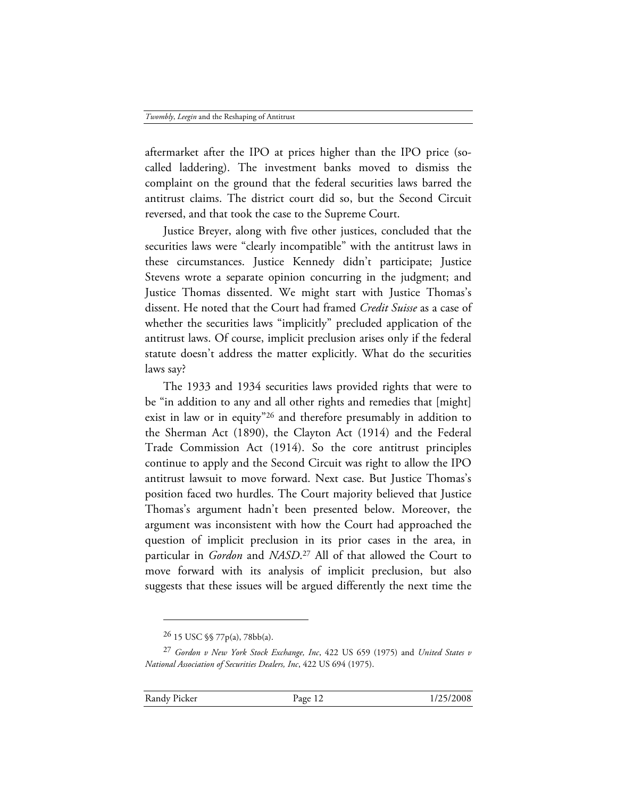aftermarket after the IPO at prices higher than the IPO price (socalled laddering). The investment banks moved to dismiss the complaint on the ground that the federal securities laws barred the antitrust claims. The district court did so, but the Second Circuit reversed, and that took the case to the Supreme Court.

Justice Breyer, along with five other justices, concluded that the securities laws were "clearly incompatible" with the antitrust laws in these circumstances. Justice Kennedy didn't participate; Justice Stevens wrote a separate opinion concurring in the judgment; and Justice Thomas dissented. We might start with Justice Thomas's dissent. He noted that the Court had framed *Credit Suisse* as a case of whether the securities laws "implicitly" precluded application of the antitrust laws. Of course, implicit preclusion arises only if the federal statute doesn't address the matter explicitly. What do the securities laws say?

The 1933 and 1934 securities laws provided rights that were to be "in addition to any and all other rights and remedies that [might] exist in law or in equity<sup>"26</sup> and therefore presumably in addition to the Sherman Act (1890), the Clayton Act (1914) and the Federal Trade Commission Act (1914). So the core antitrust principles continue to apply and the Second Circuit was right to allow the IPO antitrust lawsuit to move forward. Next case. But Justice Thomas's position faced two hurdles. The Court majority believed that Justice Thomas's argument hadn't been presented below. Moreover, the argument was inconsistent with how the Court had approached the question of implicit preclusion in its prior cases in the area, in particular in *Gordon* and *NASD*. 27 All of that allowed the Court to move forward with its analysis of implicit preclusion, but also suggests that these issues will be argued differently the next time the

| Randy Picker | Page 12 | 1/25/2008 |
|--------------|---------|-----------|
|--------------|---------|-----------|

<sup>26 15</sup> USC §§ 77p(a), 78bb(a).

<sup>27</sup> *Gordon v New York Stock Exchange, Inc*, 422 US 659 (1975) and *United States v National Association of Securities Dealers, Inc*, 422 US 694 (1975).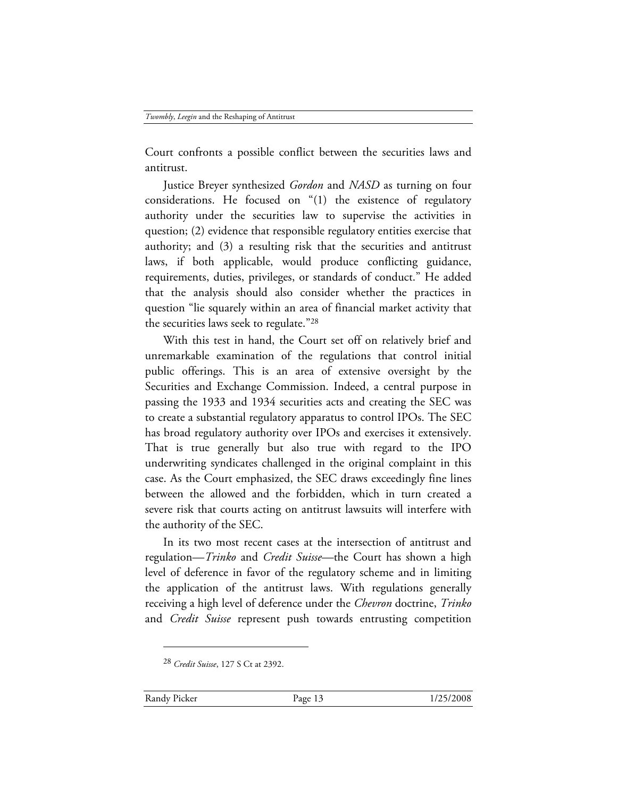Court confronts a possible conflict between the securities laws and antitrust.

Justice Breyer synthesized *Gordon* and *NASD* as turning on four considerations. He focused on "(1) the existence of regulatory authority under the securities law to supervise the activities in question; (2) evidence that responsible regulatory entities exercise that authority; and (3) a resulting risk that the securities and antitrust laws, if both applicable, would produce conflicting guidance, requirements, duties, privileges, or standards of conduct." He added that the analysis should also consider whether the practices in question "lie squarely within an area of financial market activity that the securities laws seek to regulate."28

With this test in hand, the Court set off on relatively brief and unremarkable examination of the regulations that control initial public offerings. This is an area of extensive oversight by the Securities and Exchange Commission. Indeed, a central purpose in passing the 1933 and 1934 securities acts and creating the SEC was to create a substantial regulatory apparatus to control IPOs. The SEC has broad regulatory authority over IPOs and exercises it extensively. That is true generally but also true with regard to the IPO underwriting syndicates challenged in the original complaint in this case. As the Court emphasized, the SEC draws exceedingly fine lines between the allowed and the forbidden, which in turn created a severe risk that courts acting on antitrust lawsuits will interfere with the authority of the SEC.

In its two most recent cases at the intersection of antitrust and regulation—*Trinko* and *Credit Suisse*—the Court has shown a high level of deference in favor of the regulatory scheme and in limiting the application of the antitrust laws. With regulations generally receiving a high level of deference under the *Chevron* doctrine, *Trinko* and *Credit Suisse* represent push towards entrusting competition

<sup>28</sup> *Credit Suisse*, 127 S Ct at 2392.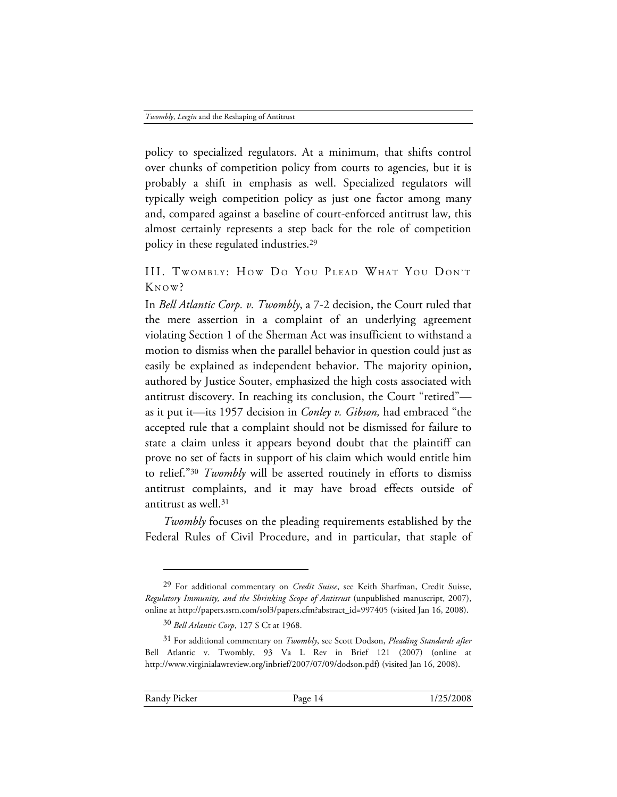policy to specialized regulators. At a minimum, that shifts control over chunks of competition policy from courts to agencies, but it is probably a shift in emphasis as well. Specialized regulators will typically weigh competition policy as just one factor among many and, compared against a baseline of court-enforced antitrust law, this almost certainly represents a step back for the role of competition policy in these regulated industries.29

III. TWOMBLY: HOW DO YOU PLEAD WHAT YOU DON'T  $K$ <sub>NO</sub>w?

In *Bell Atlantic Corp. v. Twombly*, a 7-2 decision, the Court ruled that the mere assertion in a complaint of an underlying agreement violating Section 1 of the Sherman Act was insufficient to withstand a motion to dismiss when the parallel behavior in question could just as easily be explained as independent behavior. The majority opinion, authored by Justice Souter, emphasized the high costs associated with antitrust discovery. In reaching its conclusion, the Court "retired" as it put it—its 1957 decision in *Conley v. Gibson,* had embraced "the accepted rule that a complaint should not be dismissed for failure to state a claim unless it appears beyond doubt that the plaintiff can prove no set of facts in support of his claim which would entitle him to relief."30 *Twombly* will be asserted routinely in efforts to dismiss antitrust complaints, and it may have broad effects outside of antitrust as well.<sup>31</sup>

*Twombly* focuses on the pleading requirements established by the Federal Rules of Civil Procedure, and in particular, that staple of

<sup>29</sup> For additional commentary on *Credit Suisse*, see Keith Sharfman, Credit Suisse, *Regulatory Immunity, and the Shrinking Scope of Antitrust* (unpublished manuscript, 2007), online at http://papers.ssrn.com/sol3/papers.cfm?abstract\_id=997405 (visited Jan 16, 2008).

<sup>30</sup> *Bell Atlantic Corp*, 127 S Ct at 1968.

<sup>31</sup> For additional commentary on *Twombly*, see Scott Dodson, *Pleading Standards after* Bell Atlantic v. Twombly, 93 Va L Rev in Brief 121 (2007) (online at http://www.virginialawreview.org/inbrief/2007/07/09/dodson.pdf) (visited Jan 16, 2008).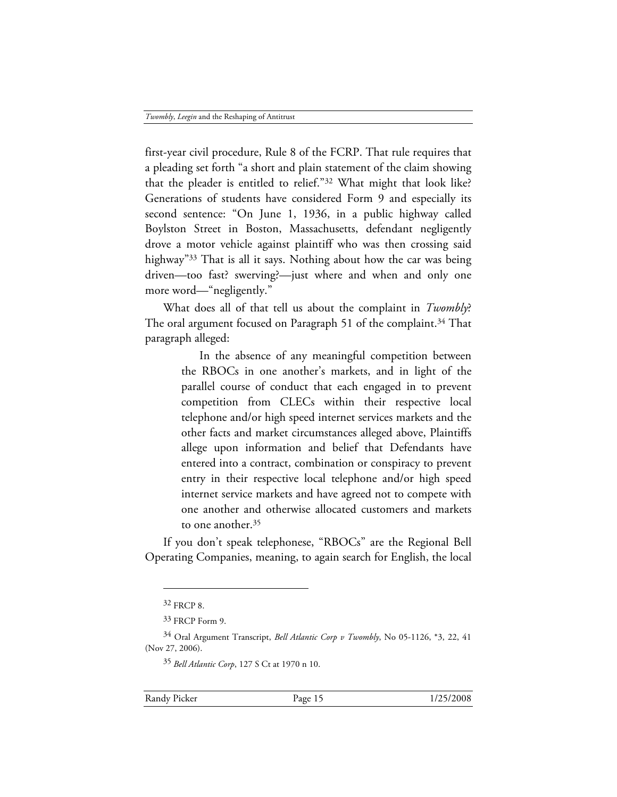first-year civil procedure, Rule 8 of the FCRP. That rule requires that a pleading set forth "a short and plain statement of the claim showing that the pleader is entitled to relief."32 What might that look like? Generations of students have considered Form 9 and especially its second sentence: "On June 1, 1936, in a public highway called Boylston Street in Boston, Massachusetts, defendant negligently drove a motor vehicle against plaintiff who was then crossing said highway"33 That is all it says. Nothing about how the car was being driven—too fast? swerving?—just where and when and only one more word—"negligently."

What does all of that tell us about the complaint in *Twombly*? The oral argument focused on Paragraph 51 of the complaint.<sup>34</sup> That paragraph alleged:

> In the absence of any meaningful competition between the RBOCs in one another's markets, and in light of the parallel course of conduct that each engaged in to prevent competition from CLECs within their respective local telephone and/or high speed internet services markets and the other facts and market circumstances alleged above, Plaintiffs allege upon information and belief that Defendants have entered into a contract, combination or conspiracy to prevent entry in their respective local telephone and/or high speed internet service markets and have agreed not to compete with one another and otherwise allocated customers and markets to one another.35

If you don't speak telephonese, "RBOCs" are the Regional Bell Operating Companies, meaning, to again search for English, the local

<sup>32</sup> FRCP 8.

<sup>33</sup> FRCP Form 9.

<sup>34</sup> Oral Argument Transcript, *Bell Atlantic Corp v Twombly*, No 05-1126, \*3, 22, 41 (Nov 27, 2006).

<sup>35</sup> *Bell Atlantic Corp*, 127 S Ct at 1970 n 10.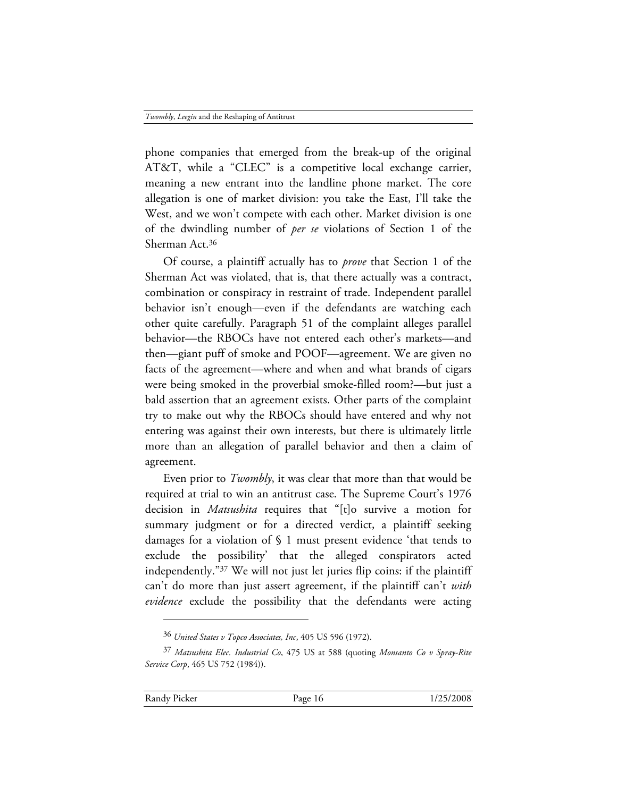phone companies that emerged from the break-up of the original AT&T, while a "CLEC" is a competitive local exchange carrier, meaning a new entrant into the landline phone market. The core allegation is one of market division: you take the East, I'll take the West, and we won't compete with each other. Market division is one of the dwindling number of *per se* violations of Section 1 of the Sherman Act.36

Of course, a plaintiff actually has to *prove* that Section 1 of the Sherman Act was violated, that is, that there actually was a contract, combination or conspiracy in restraint of trade. Independent parallel behavior isn't enough—even if the defendants are watching each other quite carefully. Paragraph 51 of the complaint alleges parallel behavior—the RBOCs have not entered each other's markets—and then—giant puff of smoke and POOF—agreement. We are given no facts of the agreement—where and when and what brands of cigars were being smoked in the proverbial smoke-filled room?—but just a bald assertion that an agreement exists. Other parts of the complaint try to make out why the RBOCs should have entered and why not entering was against their own interests, but there is ultimately little more than an allegation of parallel behavior and then a claim of agreement.

Even prior to *Twombly*, it was clear that more than that would be required at trial to win an antitrust case. The Supreme Court's 1976 decision in *Matsushita* requires that "[t]o survive a motion for summary judgment or for a directed verdict, a plaintiff seeking damages for a violation of § 1 must present evidence 'that tends to exclude the possibility' that the alleged conspirators acted independently."37 We will not just let juries flip coins: if the plaintiff can't do more than just assert agreement, if the plaintiff can't *with evidence* exclude the possibility that the defendants were acting

| Randy Picker | Page 16 | 1/25/2008 |
|--------------|---------|-----------|
|--------------|---------|-----------|

<sup>36</sup> *United States v Topco Associates, Inc*, 405 US 596 (1972).

<sup>37</sup> *Matsushita Elec. Industrial Co*, 475 US at 588 (quoting *Monsanto Co v Spray-Rite Service Corp*, 465 US 752 (1984)).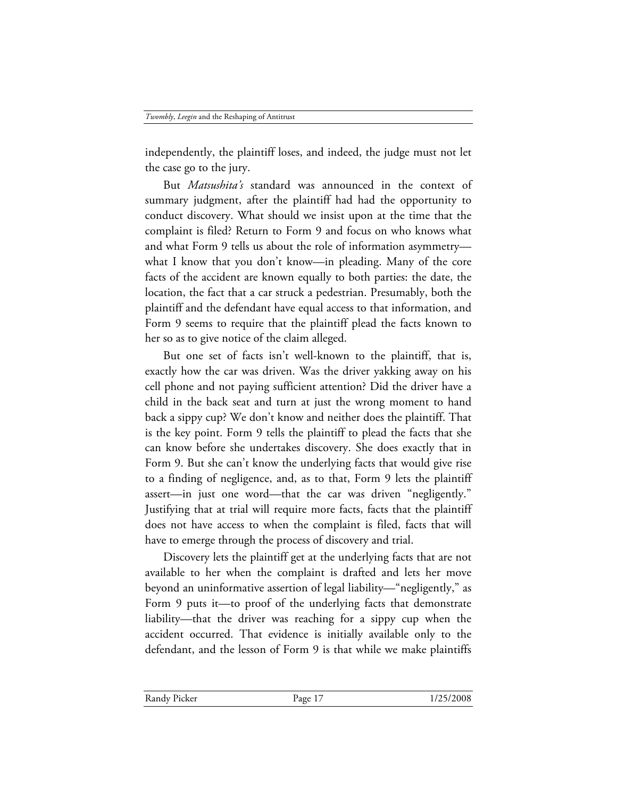independently, the plaintiff loses, and indeed, the judge must not let the case go to the jury.

But *Matsushita's* standard was announced in the context of summary judgment, after the plaintiff had had the opportunity to conduct discovery. What should we insist upon at the time that the complaint is filed? Return to Form 9 and focus on who knows what and what Form 9 tells us about the role of information asymmetry what I know that you don't know—in pleading. Many of the core facts of the accident are known equally to both parties: the date, the location, the fact that a car struck a pedestrian. Presumably, both the plaintiff and the defendant have equal access to that information, and Form 9 seems to require that the plaintiff plead the facts known to her so as to give notice of the claim alleged.

But one set of facts isn't well-known to the plaintiff, that is, exactly how the car was driven. Was the driver yakking away on his cell phone and not paying sufficient attention? Did the driver have a child in the back seat and turn at just the wrong moment to hand back a sippy cup? We don't know and neither does the plaintiff. That is the key point. Form 9 tells the plaintiff to plead the facts that she can know before she undertakes discovery. She does exactly that in Form 9. But she can't know the underlying facts that would give rise to a finding of negligence, and, as to that, Form 9 lets the plaintiff assert—in just one word—that the car was driven "negligently." Justifying that at trial will require more facts, facts that the plaintiff does not have access to when the complaint is filed, facts that will have to emerge through the process of discovery and trial.

Discovery lets the plaintiff get at the underlying facts that are not available to her when the complaint is drafted and lets her move beyond an uninformative assertion of legal liability—"negligently," as Form 9 puts it—to proof of the underlying facts that demonstrate liability—that the driver was reaching for a sippy cup when the accident occurred. That evidence is initially available only to the defendant, and the lesson of Form 9 is that while we make plaintiffs

| Randy Picker | Page 17 | 1/25/2008 |
|--------------|---------|-----------|
|--------------|---------|-----------|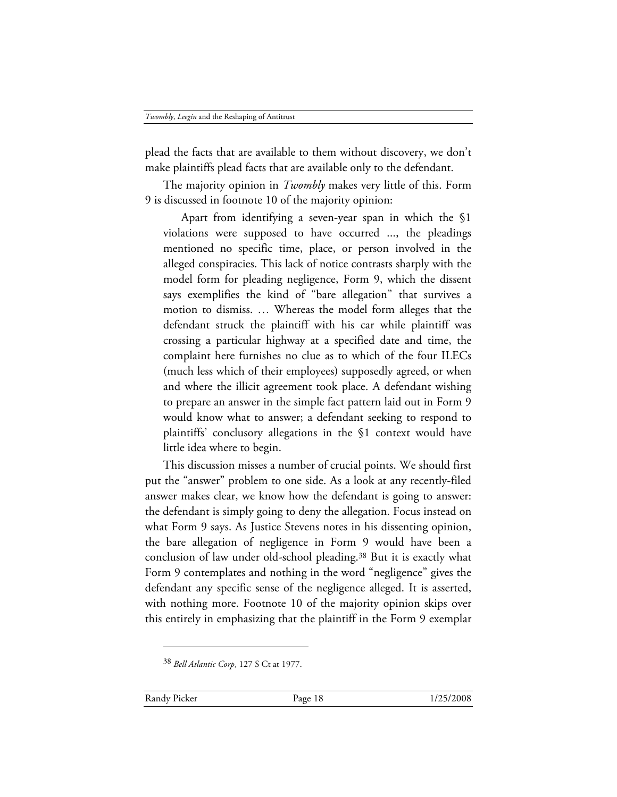plead the facts that are available to them without discovery, we don't make plaintiffs plead facts that are available only to the defendant.

The majority opinion in *Twombly* makes very little of this. Form 9 is discussed in footnote 10 of the majority opinion:

Apart from identifying a seven-year span in which the §1 violations were supposed to have occurred ..., the pleadings mentioned no specific time, place, or person involved in the alleged conspiracies. This lack of notice contrasts sharply with the model form for pleading negligence, Form 9, which the dissent says exemplifies the kind of "bare allegation" that survives a motion to dismiss. … Whereas the model form alleges that the defendant struck the plaintiff with his car while plaintiff was crossing a particular highway at a specified date and time, the complaint here furnishes no clue as to which of the four ILECs (much less which of their employees) supposedly agreed, or when and where the illicit agreement took place. A defendant wishing to prepare an answer in the simple fact pattern laid out in Form 9 would know what to answer; a defendant seeking to respond to plaintiffs' conclusory allegations in the §1 context would have little idea where to begin.

This discussion misses a number of crucial points. We should first put the "answer" problem to one side. As a look at any recently-filed answer makes clear, we know how the defendant is going to answer: the defendant is simply going to deny the allegation. Focus instead on what Form 9 says. As Justice Stevens notes in his dissenting opinion, the bare allegation of negligence in Form 9 would have been a conclusion of law under old-school pleading.<sup>38</sup> But it is exactly what Form 9 contemplates and nothing in the word "negligence" gives the defendant any specific sense of the negligence alleged. It is asserted, with nothing more. Footnote 10 of the majority opinion skips over this entirely in emphasizing that the plaintiff in the Form 9 exemplar

<sup>38</sup> *Bell Atlantic Corp*, 127 S Ct at 1977.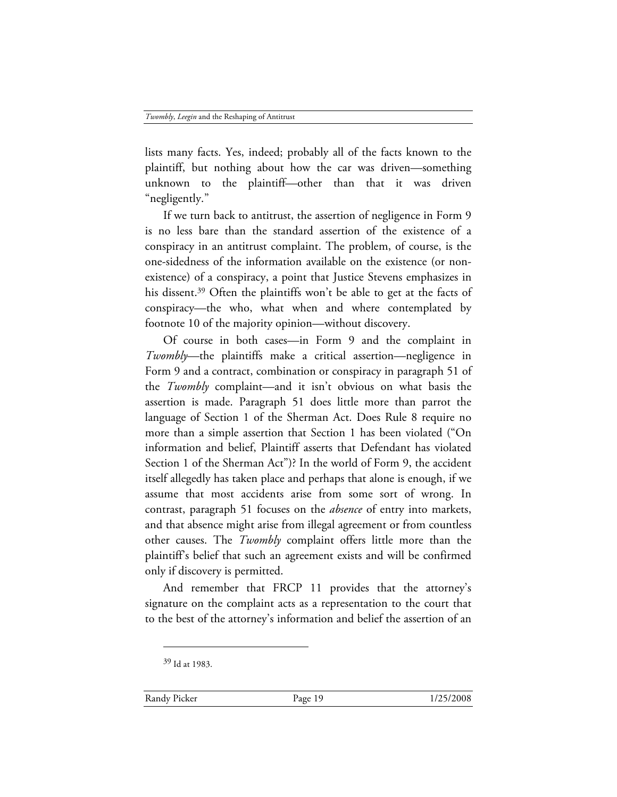lists many facts. Yes, indeed; probably all of the facts known to the plaintiff, but nothing about how the car was driven—something unknown to the plaintiff—other than that it was driven "negligently."

If we turn back to antitrust, the assertion of negligence in Form 9 is no less bare than the standard assertion of the existence of a conspiracy in an antitrust complaint. The problem, of course, is the one-sidedness of the information available on the existence (or nonexistence) of a conspiracy, a point that Justice Stevens emphasizes in his dissent.<sup>39</sup> Often the plaintiffs won't be able to get at the facts of conspiracy—the who, what when and where contemplated by footnote 10 of the majority opinion—without discovery.

Of course in both cases—in Form 9 and the complaint in *Twombly*—the plaintiffs make a critical assertion—negligence in Form 9 and a contract, combination or conspiracy in paragraph 51 of the *Twombly* complaint—and it isn't obvious on what basis the assertion is made. Paragraph 51 does little more than parrot the language of Section 1 of the Sherman Act. Does Rule 8 require no more than a simple assertion that Section 1 has been violated ("On information and belief, Plaintiff asserts that Defendant has violated Section 1 of the Sherman Act")? In the world of Form 9, the accident itself allegedly has taken place and perhaps that alone is enough, if we assume that most accidents arise from some sort of wrong. In contrast, paragraph 51 focuses on the *absence* of entry into markets, and that absence might arise from illegal agreement or from countless other causes. The *Twombly* complaint offers little more than the plaintiff's belief that such an agreement exists and will be confirmed only if discovery is permitted.

And remember that FRCP 11 provides that the attorney's signature on the complaint acts as a representation to the court that to the best of the attorney's information and belief the assertion of an

Randy Picker Page 19 1/25/2008

<sup>39</sup> Id at 1983.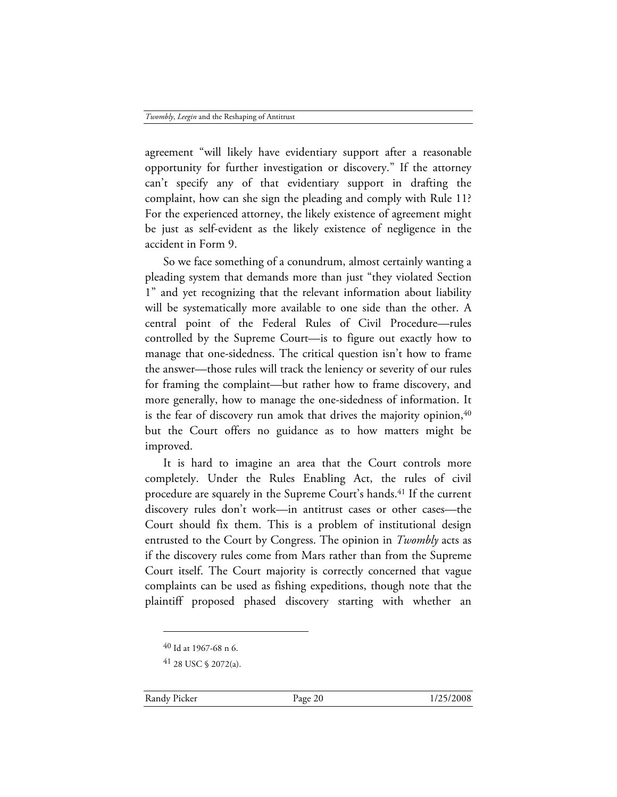agreement "will likely have evidentiary support after a reasonable opportunity for further investigation or discovery." If the attorney can't specify any of that evidentiary support in drafting the complaint, how can she sign the pleading and comply with Rule 11? For the experienced attorney, the likely existence of agreement might be just as self-evident as the likely existence of negligence in the accident in Form 9.

So we face something of a conundrum, almost certainly wanting a pleading system that demands more than just "they violated Section 1" and yet recognizing that the relevant information about liability will be systematically more available to one side than the other. A central point of the Federal Rules of Civil Procedure—rules controlled by the Supreme Court—is to figure out exactly how to manage that one-sidedness. The critical question isn't how to frame the answer—those rules will track the leniency or severity of our rules for framing the complaint—but rather how to frame discovery, and more generally, how to manage the one-sidedness of information. It is the fear of discovery run amok that drives the majority opinion,  $40$ but the Court offers no guidance as to how matters might be improved.

It is hard to imagine an area that the Court controls more completely. Under the Rules Enabling Act, the rules of civil procedure are squarely in the Supreme Court's hands.<sup>41</sup> If the current discovery rules don't work—in antitrust cases or other cases—the Court should fix them. This is a problem of institutional design entrusted to the Court by Congress. The opinion in *Twombly* acts as if the discovery rules come from Mars rather than from the Supreme Court itself. The Court majority is correctly concerned that vague complaints can be used as fishing expeditions, though note that the plaintiff proposed phased discovery starting with whether an

-

<sup>40</sup> Id at 1967-68 n 6.

<sup>41 28</sup> USC § 2072(a).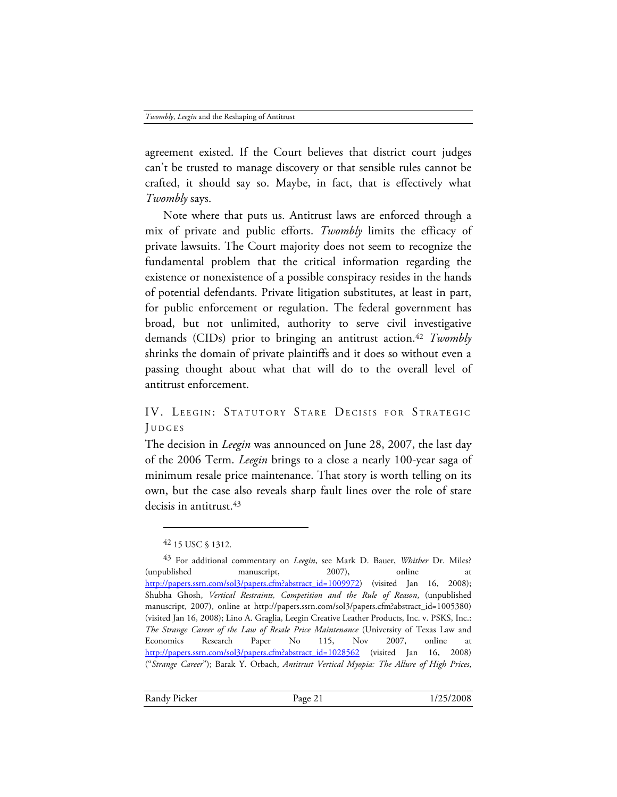agreement existed. If the Court believes that district court judges can't be trusted to manage discovery or that sensible rules cannot be crafted, it should say so. Maybe, in fact, that is effectively what *Twombly* says.

Note where that puts us. Antitrust laws are enforced through a mix of private and public efforts. *Twombly* limits the efficacy of private lawsuits. The Court majority does not seem to recognize the fundamental problem that the critical information regarding the existence or nonexistence of a possible conspiracy resides in the hands of potential defendants. Private litigation substitutes, at least in part, for public enforcement or regulation. The federal government has broad, but not unlimited, authority to serve civil investigative demands (CIDs) prior to bringing an antitrust action.<sup>42</sup> *Twombly* shrinks the domain of private plaintiffs and it does so without even a passing thought about what that will do to the overall level of antitrust enforcement.

#### IV. LEEGIN: STATUTORY STARE DECISIS FOR STRATEGIC **JUDGES**

The decision in *Leegin* was announced on June 28, 2007, the last day of the 2006 Term. *Leegin* brings to a close a nearly 100-year saga of minimum resale price maintenance. That story is worth telling on its own, but the case also reveals sharp fault lines over the role of stare decisis in antitrust.43

<sup>42 15</sup> USC § 1312.

<sup>43</sup> For additional commentary on *Leegin*, see Mark D. Bauer, *Whither* Dr. Miles? (unpublished manuscript, 2007), online at http://papers.ssrn.com/sol3/papers.cfm?abstract\_id=1009972) (visited Jan 16, 2008); Shubha Ghosh, *Vertical Restraints, Competition and the Rule of Reason*, (unpublished manuscript, 2007), online at http://papers.ssrn.com/sol3/papers.cfm?abstract\_id=1005380) (visited Jan 16, 2008); Lino A. Graglia, Leegin Creative Leather Products, Inc. v. PSKS, Inc.: *The Strange Career of the Law of Resale Price Maintenance* (University of Texas Law and Economics Research Paper No 115, Nov 2007, online at http://papers.ssrn.com/sol3/papers.cfm?abstract\_id=1028562 (visited Jan 16, 2008) ("*Strange Career*"); Barak Y. Orbach, *Antitrust Vertical Myopia: The Allure of High Prices*,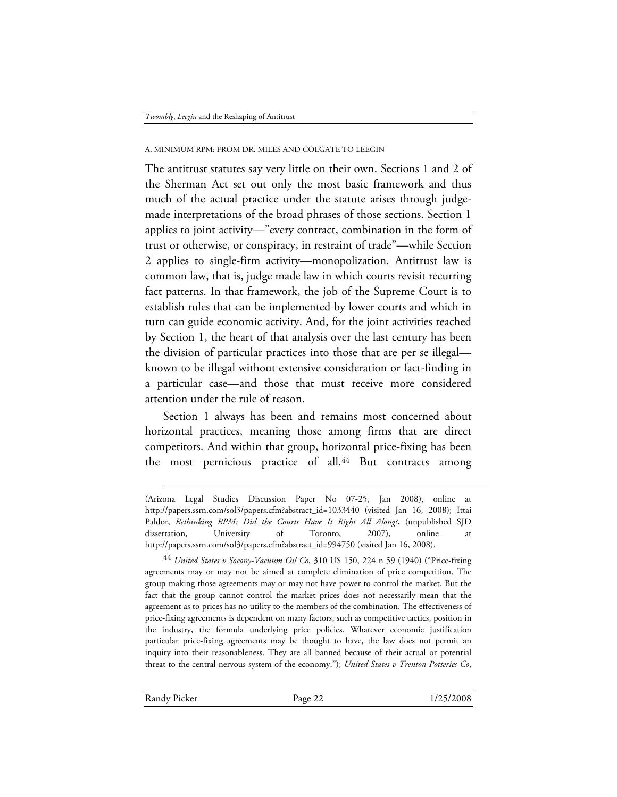#### A. MINIMUM RPM: FROM DR. MILES AND COLGATE TO LEEGIN

The antitrust statutes say very little on their own. Sections 1 and 2 of the Sherman Act set out only the most basic framework and thus much of the actual practice under the statute arises through judgemade interpretations of the broad phrases of those sections. Section 1 applies to joint activity—"every contract, combination in the form of trust or otherwise, or conspiracy, in restraint of trade"—while Section 2 applies to single-firm activity—monopolization. Antitrust law is common law, that is, judge made law in which courts revisit recurring fact patterns. In that framework, the job of the Supreme Court is to establish rules that can be implemented by lower courts and which in turn can guide economic activity. And, for the joint activities reached by Section 1, the heart of that analysis over the last century has been the division of particular practices into those that are per se illegal known to be illegal without extensive consideration or fact-finding in a particular case—and those that must receive more considered attention under the rule of reason.

Section 1 always has been and remains most concerned about horizontal practices, meaning those among firms that are direct competitors. And within that group, horizontal price-fixing has been the most pernicious practice of all.<sup>44</sup> But contracts among

-

<sup>(</sup>Arizona Legal Studies Discussion Paper No 07-25, Jan 2008), online at http://papers.ssrn.com/sol3/papers.cfm?abstract\_id=1033440 (visited Jan 16, 2008); Ittai Paldor, *Rethinking RPM: Did the Courts Have It Right All Along?*, (unpublished SJD dissertation, University of Toronto, 2007), online at http://papers.ssrn.com/sol3/papers.cfm?abstract\_id=994750 (visited Jan 16, 2008).

<sup>44</sup> *United States v Socony-Vacuum Oil Co*, 310 US 150, 224 n 59 (1940) ("Price-fixing agreements may or may not be aimed at complete elimination of price competition. The group making those agreements may or may not have power to control the market. But the fact that the group cannot control the market prices does not necessarily mean that the agreement as to prices has no utility to the members of the combination. The effectiveness of price-fixing agreements is dependent on many factors, such as competitive tactics, position in the industry, the formula underlying price policies. Whatever economic justification particular price-fixing agreements may be thought to have, the law does not permit an inquiry into their reasonableness. They are all banned because of their actual or potential threat to the central nervous system of the economy."); *United States v Trenton Potteries Co*,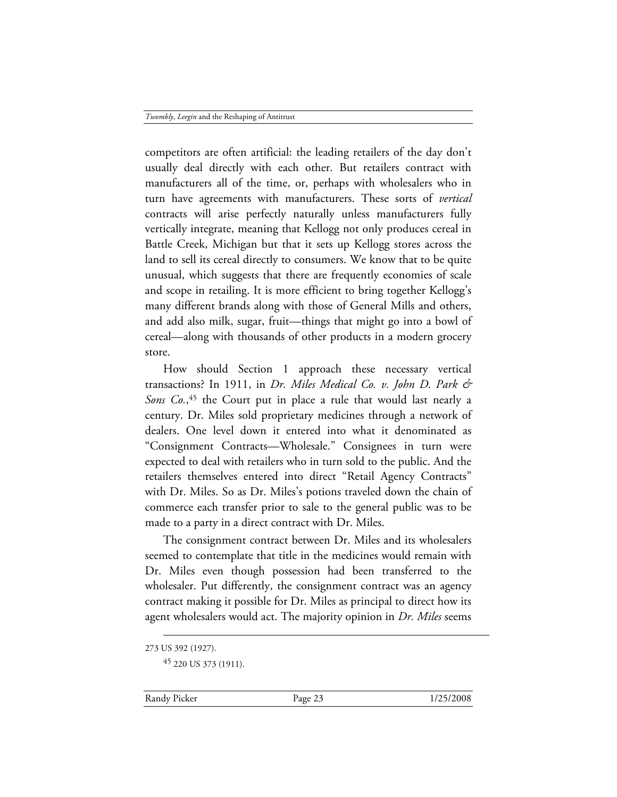competitors are often artificial: the leading retailers of the day don't usually deal directly with each other. But retailers contract with manufacturers all of the time, or, perhaps with wholesalers who in turn have agreements with manufacturers. These sorts of *vertical* contracts will arise perfectly naturally unless manufacturers fully vertically integrate, meaning that Kellogg not only produces cereal in Battle Creek, Michigan but that it sets up Kellogg stores across the land to sell its cereal directly to consumers. We know that to be quite unusual, which suggests that there are frequently economies of scale and scope in retailing. It is more efficient to bring together Kellogg's many different brands along with those of General Mills and others, and add also milk, sugar, fruit—things that might go into a bowl of cereal—along with thousands of other products in a modern grocery store.

How should Section 1 approach these necessary vertical transactions? In 1911, in *Dr. Miles Medical Co. v. John D. Park & Sons Co.*,<sup>45</sup> the Court put in place a rule that would last nearly a century. Dr. Miles sold proprietary medicines through a network of dealers. One level down it entered into what it denominated as "Consignment Contracts—Wholesale." Consignees in turn were expected to deal with retailers who in turn sold to the public. And the retailers themselves entered into direct "Retail Agency Contracts" with Dr. Miles. So as Dr. Miles's potions traveled down the chain of commerce each transfer prior to sale to the general public was to be made to a party in a direct contract with Dr. Miles.

The consignment contract between Dr. Miles and its wholesalers seemed to contemplate that title in the medicines would remain with Dr. Miles even though possession had been transferred to the wholesaler. Put differently, the consignment contract was an agency contract making it possible for Dr. Miles as principal to direct how its agent wholesalers would act. The majority opinion in *Dr. Miles* seems

<sup>45 220</sup> US 373 (1911).

| Randy Picker<br>1/25/2008<br>Page<br>, 4 |
|------------------------------------------|
|------------------------------------------|

<sup>273</sup> US 392 (1927).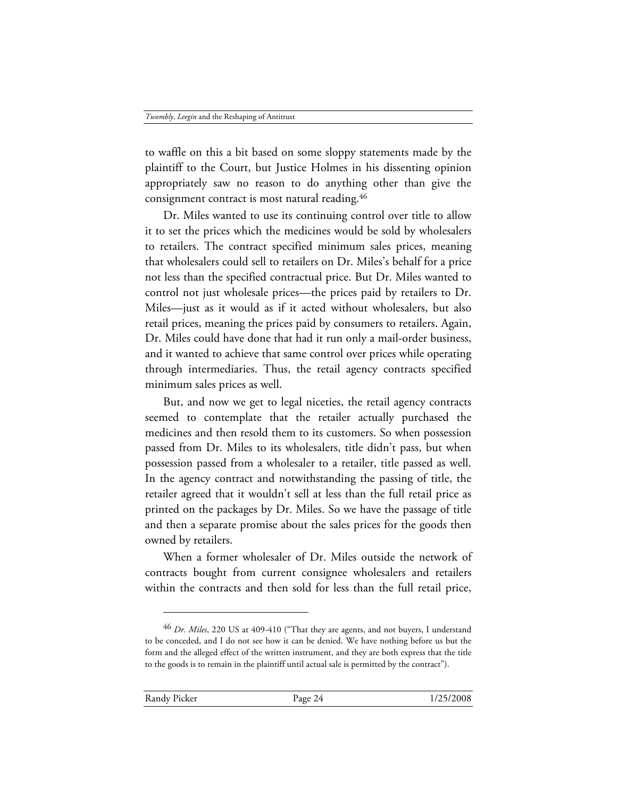to waffle on this a bit based on some sloppy statements made by the plaintiff to the Court, but Justice Holmes in his dissenting opinion appropriately saw no reason to do anything other than give the consignment contract is most natural reading.46

Dr. Miles wanted to use its continuing control over title to allow it to set the prices which the medicines would be sold by wholesalers to retailers. The contract specified minimum sales prices, meaning that wholesalers could sell to retailers on Dr. Miles's behalf for a price not less than the specified contractual price. But Dr. Miles wanted to control not just wholesale prices—the prices paid by retailers to Dr. Miles—just as it would as if it acted without wholesalers, but also retail prices, meaning the prices paid by consumers to retailers. Again, Dr. Miles could have done that had it run only a mail-order business, and it wanted to achieve that same control over prices while operating through intermediaries. Thus, the retail agency contracts specified minimum sales prices as well.

But, and now we get to legal niceties, the retail agency contracts seemed to contemplate that the retailer actually purchased the medicines and then resold them to its customers. So when possession passed from Dr. Miles to its wholesalers, title didn't pass, but when possession passed from a wholesaler to a retailer, title passed as well. In the agency contract and notwithstanding the passing of title, the retailer agreed that it wouldn't sell at less than the full retail price as printed on the packages by Dr. Miles. So we have the passage of title and then a separate promise about the sales prices for the goods then owned by retailers.

When a former wholesaler of Dr. Miles outside the network of contracts bought from current consignee wholesalers and retailers within the contracts and then sold for less than the full retail price,

| Randy Picker |  |
|--------------|--|
|              |  |

<sup>46</sup> *Dr. Miles*, 220 US at 409-410 ("That they are agents, and not buyers, I understand to be conceded, and I do not see how it can be denied. We have nothing before us but the form and the alleged effect of the written instrument, and they are both express that the title to the goods is to remain in the plaintiff until actual sale is permitted by the contract").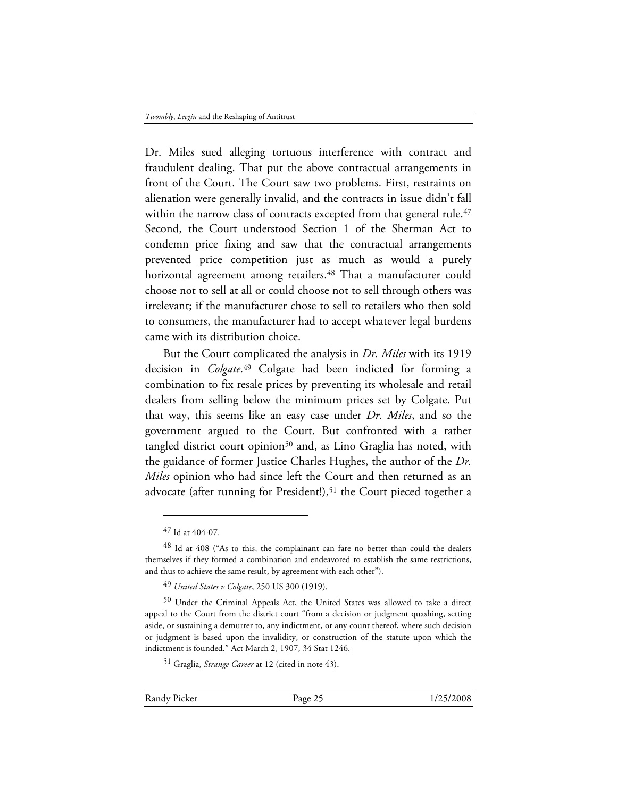Dr. Miles sued alleging tortuous interference with contract and fraudulent dealing. That put the above contractual arrangements in front of the Court. The Court saw two problems. First, restraints on alienation were generally invalid, and the contracts in issue didn't fall within the narrow class of contracts excepted from that general rule. $47$ Second, the Court understood Section 1 of the Sherman Act to condemn price fixing and saw that the contractual arrangements prevented price competition just as much as would a purely horizontal agreement among retailers.<sup>48</sup> That a manufacturer could choose not to sell at all or could choose not to sell through others was irrelevant; if the manufacturer chose to sell to retailers who then sold to consumers, the manufacturer had to accept whatever legal burdens came with its distribution choice.

But the Court complicated the analysis in *Dr. Miles* with its 1919 decision in *Colgate*.49 Colgate had been indicted for forming a combination to fix resale prices by preventing its wholesale and retail dealers from selling below the minimum prices set by Colgate. Put that way, this seems like an easy case under *Dr. Miles*, and so the government argued to the Court. But confronted with a rather tangled district court opinion<sup>50</sup> and, as Lino Graglia has noted, with the guidance of former Justice Charles Hughes, the author of the *Dr. Miles* opinion who had since left the Court and then returned as an advocate (after running for President!),<sup>51</sup> the Court pieced together a

<sup>47</sup> Id at 404-07.

<sup>48</sup> Id at 408 ("As to this, the complainant can fare no better than could the dealers themselves if they formed a combination and endeavored to establish the same restrictions, and thus to achieve the same result, by agreement with each other").

<sup>49</sup> *United States v Colgate*, 250 US 300 (1919).

<sup>50</sup> Under the Criminal Appeals Act, the United States was allowed to take a direct appeal to the Court from the district court "from a decision or judgment quashing, setting aside, or sustaining a demurrer to, any indictment, or any count thereof, where such decision or judgment is based upon the invalidity, or construction of the statute upon which the indictment is founded." Act March 2, 1907, 34 Stat 1246.

<sup>51</sup> Graglia, *Strange Career* at 12 (cited in note 43).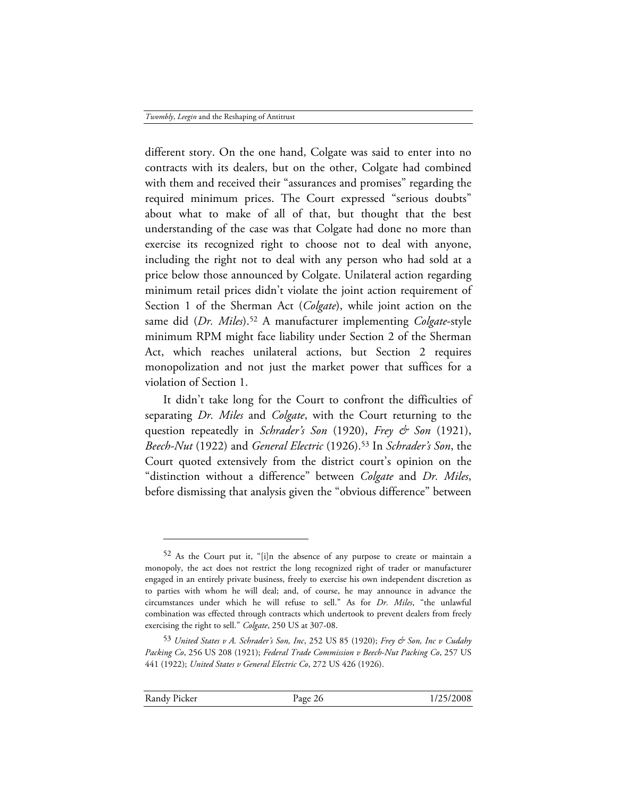-

different story. On the one hand, Colgate was said to enter into no contracts with its dealers, but on the other, Colgate had combined with them and received their "assurances and promises" regarding the required minimum prices. The Court expressed "serious doubts" about what to make of all of that, but thought that the best understanding of the case was that Colgate had done no more than exercise its recognized right to choose not to deal with anyone, including the right not to deal with any person who had sold at a price below those announced by Colgate. Unilateral action regarding minimum retail prices didn't violate the joint action requirement of Section 1 of the Sherman Act (*Colgate*), while joint action on the same did (*Dr. Miles*).52 A manufacturer implementing *Colgate*-style minimum RPM might face liability under Section 2 of the Sherman Act, which reaches unilateral actions, but Section 2 requires monopolization and not just the market power that suffices for a violation of Section 1.

It didn't take long for the Court to confront the difficulties of separating *Dr. Miles* and *Colgate*, with the Court returning to the question repeatedly in *Schrader's Son* (1920), *Frey & Son* (1921), *Beech-Nut* (1922) and *General Electric* (1926).53 In *Schrader's Son*, the Court quoted extensively from the district court's opinion on the "distinction without a difference" between *Colgate* and *Dr. Miles*, before dismissing that analysis given the "obvious difference" between

| Randy Picker |         | 1/25/2008 |
|--------------|---------|-----------|
|              | Page 26 |           |

<sup>52</sup> As the Court put it, "[i]n the absence of any purpose to create or maintain a monopoly, the act does not restrict the long recognized right of trader or manufacturer engaged in an entirely private business, freely to exercise his own independent discretion as to parties with whom he will deal; and, of course, he may announce in advance the circumstances under which he will refuse to sell." As for *Dr. Miles*, "the unlawful combination was effected through contracts which undertook to prevent dealers from freely exercising the right to sell." *Colgate*, 250 US at 307-08.

<sup>53</sup> *United States v A. Schrader's Son, Inc*, 252 US 85 (1920); *Frey & Son, Inc v Cudahy Packing Co*, 256 US 208 (1921); *Federal Trade Commission v Beech-Nut Packing Co*, 257 US 441 (1922); *United States v General Electric Co*, 272 US 426 (1926).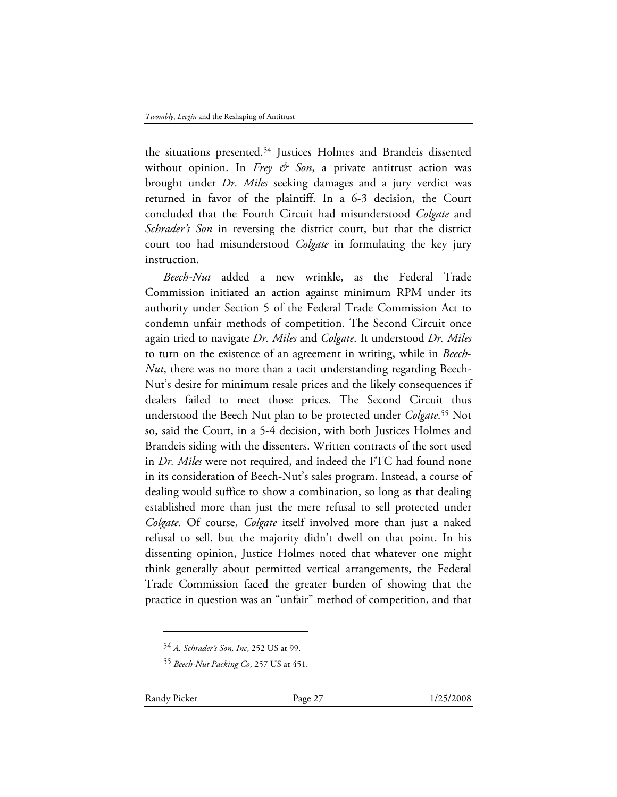the situations presented.54 Justices Holmes and Brandeis dissented without opinion. In *Frey & Son*, a private antitrust action was brought under *Dr. Miles* seeking damages and a jury verdict was returned in favor of the plaintiff. In a 6-3 decision, the Court concluded that the Fourth Circuit had misunderstood *Colgate* and *Schrader's Son* in reversing the district court, but that the district court too had misunderstood *Colgate* in formulating the key jury instruction.

*Beech-Nut* added a new wrinkle, as the Federal Trade Commission initiated an action against minimum RPM under its authority under Section 5 of the Federal Trade Commission Act to condemn unfair methods of competition. The Second Circuit once again tried to navigate *Dr. Miles* and *Colgate*. It understood *Dr. Miles* to turn on the existence of an agreement in writing, while in *Beech-Nut*, there was no more than a tacit understanding regarding Beech-Nut's desire for minimum resale prices and the likely consequences if dealers failed to meet those prices. The Second Circuit thus understood the Beech Nut plan to be protected under *Colgate*.55 Not so, said the Court, in a 5-4 decision, with both Justices Holmes and Brandeis siding with the dissenters. Written contracts of the sort used in *Dr. Miles* were not required, and indeed the FTC had found none in its consideration of Beech-Nut's sales program. Instead, a course of dealing would suffice to show a combination, so long as that dealing established more than just the mere refusal to sell protected under *Colgate*. Of course, *Colgate* itself involved more than just a naked refusal to sell, but the majority didn't dwell on that point. In his dissenting opinion, Justice Holmes noted that whatever one might think generally about permitted vertical arrangements, the Federal Trade Commission faced the greater burden of showing that the practice in question was an "unfair" method of competition, and that

-

<sup>54</sup> *A. Schrader's Son, Inc*, 252 US at 99.

<sup>55</sup> *Beech-Nut Packing Co*, 257 US at 451.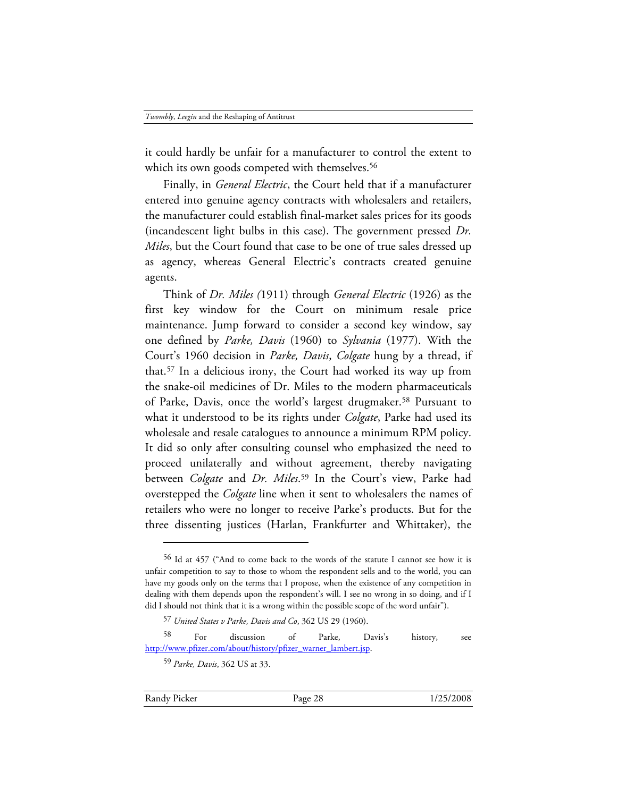it could hardly be unfair for a manufacturer to control the extent to which its own goods competed with themselves.<sup>56</sup>

Finally, in *General Electric*, the Court held that if a manufacturer entered into genuine agency contracts with wholesalers and retailers, the manufacturer could establish final-market sales prices for its goods (incandescent light bulbs in this case). The government pressed *Dr. Miles*, but the Court found that case to be one of true sales dressed up as agency, whereas General Electric's contracts created genuine agents.

Think of *Dr. Miles (*1911) through *General Electric* (1926) as the first key window for the Court on minimum resale price maintenance. Jump forward to consider a second key window, say one defined by *Parke, Davis* (1960) to *Sylvania* (1977). With the Court's 1960 decision in *Parke, Davis*, *Colgate* hung by a thread, if that.57 In a delicious irony, the Court had worked its way up from the snake-oil medicines of Dr. Miles to the modern pharmaceuticals of Parke, Davis, once the world's largest drugmaker.58 Pursuant to what it understood to be its rights under *Colgate*, Parke had used its wholesale and resale catalogues to announce a minimum RPM policy. It did so only after consulting counsel who emphasized the need to proceed unilaterally and without agreement, thereby navigating between *Colgate* and *Dr. Miles*.59 In the Court's view, Parke had overstepped the *Colgate* line when it sent to wholesalers the names of retailers who were no longer to receive Parke's products. But for the three dissenting justices (Harlan, Frankfurter and Whittaker), the

<sup>56</sup> Id at 457 ("And to come back to the words of the statute I cannot see how it is unfair competition to say to those to whom the respondent sells and to the world, you can have my goods only on the terms that I propose, when the existence of any competition in dealing with them depends upon the respondent's will. I see no wrong in so doing, and if I did I should not think that it is a wrong within the possible scope of the word unfair").

<sup>57</sup> *United States v Parke, Davis and Co*, 362 US 29 (1960).

<sup>58</sup> For discussion of Parke, Davis's history, see http://www.pfizer.com/about/history/pfizer\_warner\_lambert.jsp.

<sup>59</sup> *Parke, Davis*, 362 US at 33.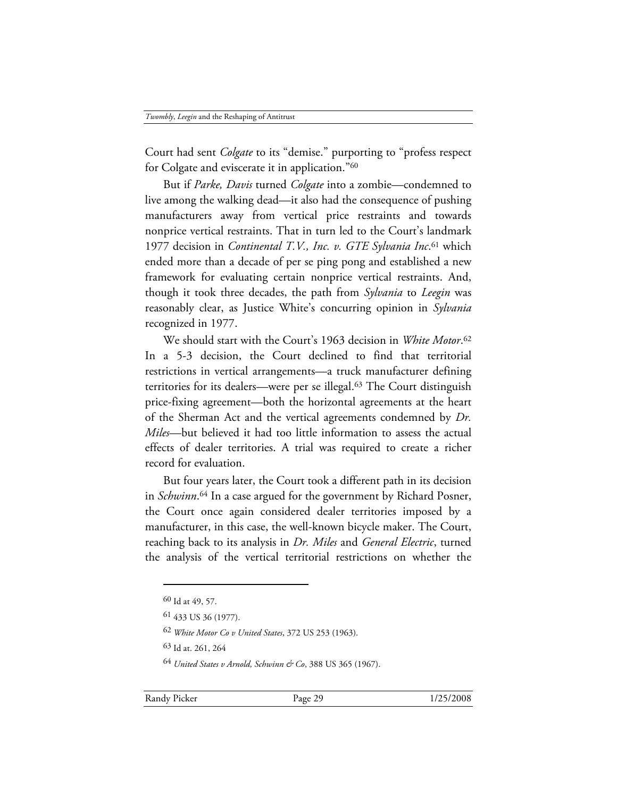Court had sent *Colgate* to its "demise." purporting to "profess respect for Colgate and eviscerate it in application."60

But if *Parke, Davis* turned *Colgate* into a zombie—condemned to live among the walking dead—it also had the consequence of pushing manufacturers away from vertical price restraints and towards nonprice vertical restraints. That in turn led to the Court's landmark 1977 decision in *Continental T.V., Inc. v. GTE Sylvania Inc*.61 which ended more than a decade of per se ping pong and established a new framework for evaluating certain nonprice vertical restraints. And, though it took three decades, the path from *Sylvania* to *Leegin* was reasonably clear, as Justice White's concurring opinion in *Sylvania* recognized in 1977.

We should start with the Court's 1963 decision in *White Motor*.62 In a 5-3 decision, the Court declined to find that territorial restrictions in vertical arrangements—a truck manufacturer defining territories for its dealers—were per se illegal.63 The Court distinguish price-fixing agreement—both the horizontal agreements at the heart of the Sherman Act and the vertical agreements condemned by *Dr. Miles*—but believed it had too little information to assess the actual effects of dealer territories. A trial was required to create a richer record for evaluation.

But four years later, the Court took a different path in its decision in *Schwinn*.64 In a case argued for the government by Richard Posner, the Court once again considered dealer territories imposed by a manufacturer, in this case, the well-known bicycle maker. The Court, reaching back to its analysis in *Dr. Miles* and *General Electric*, turned the analysis of the vertical territorial restrictions on whether the

<sup>60</sup> Id at 49, 57.

<sup>61 433</sup> US 36 (1977).

<sup>62</sup> *White Motor Co v United States*, 372 US 253 (1963).

<sup>63</sup> Id at. 261, 264

<sup>64</sup> *United States v Arnold, Schwinn & Co*, 388 US 365 (1967).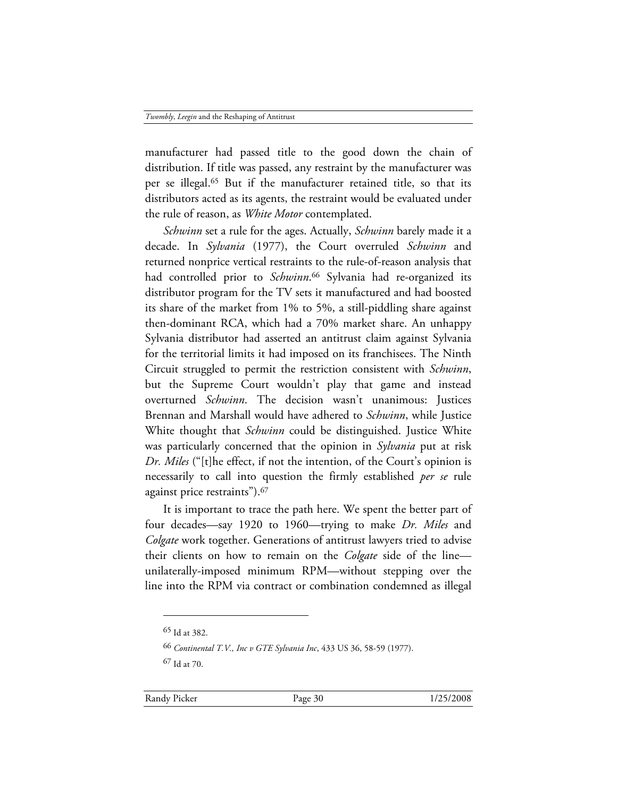manufacturer had passed title to the good down the chain of distribution. If title was passed, any restraint by the manufacturer was per se illegal.65 But if the manufacturer retained title, so that its distributors acted as its agents, the restraint would be evaluated under the rule of reason, as *White Motor* contemplated.

*Schwinn* set a rule for the ages. Actually, *Schwinn* barely made it a decade. In *Sylvania* (1977), the Court overruled *Schwinn* and returned nonprice vertical restraints to the rule-of-reason analysis that had controlled prior to *Schwinn*. 66 Sylvania had re-organized its distributor program for the TV sets it manufactured and had boosted its share of the market from 1% to 5%, a still-piddling share against then-dominant RCA, which had a 70% market share. An unhappy Sylvania distributor had asserted an antitrust claim against Sylvania for the territorial limits it had imposed on its franchisees. The Ninth Circuit struggled to permit the restriction consistent with *Schwinn*, but the Supreme Court wouldn't play that game and instead overturned *Schwinn*. The decision wasn't unanimous: Justices Brennan and Marshall would have adhered to *Schwinn*, while Justice White thought that *Schwinn* could be distinguished. Justice White was particularly concerned that the opinion in *Sylvania* put at risk *Dr. Miles* ("[t]he effect, if not the intention, of the Court's opinion is necessarily to call into question the firmly established *per se* rule against price restraints").67

It is important to trace the path here. We spent the better part of four decades—say 1920 to 1960—trying to make *Dr. Miles* and *Colgate* work together. Generations of antitrust lawyers tried to advise their clients on how to remain on the *Colgate* side of the line unilaterally-imposed minimum RPM—without stepping over the line into the RPM via contract or combination condemned as illegal

<sup>65</sup> Id at 382.

<sup>66</sup> *Continental T.V., Inc v GTE Sylvania Inc*, 433 US 36, 58-59 (1977).

<sup>67</sup> Id at 70.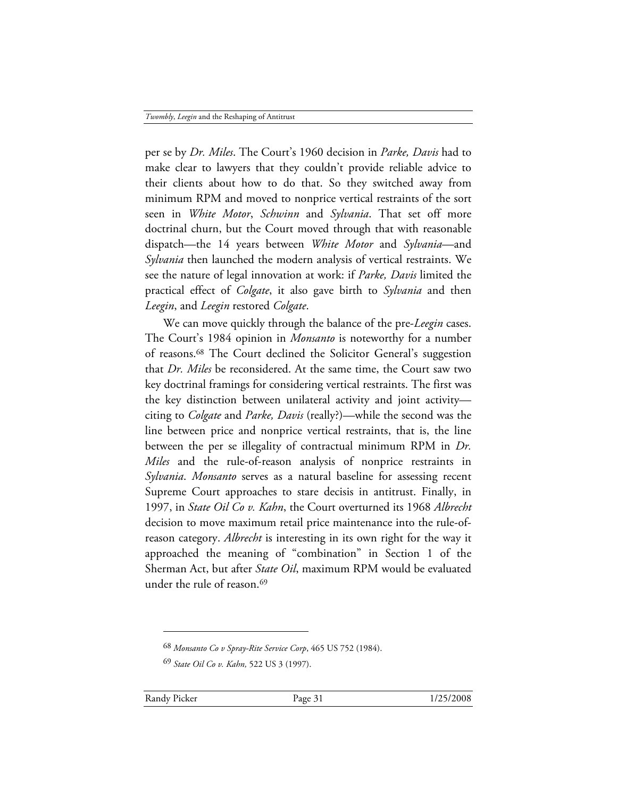per se by *Dr. Miles*. The Court's 1960 decision in *Parke, Davis* had to make clear to lawyers that they couldn't provide reliable advice to their clients about how to do that. So they switched away from minimum RPM and moved to nonprice vertical restraints of the sort seen in *White Motor*, *Schwinn* and *Sylvania*. That set off more doctrinal churn, but the Court moved through that with reasonable dispatch—the 14 years between *White Motor* and *Sylvania*—and *Sylvania* then launched the modern analysis of vertical restraints. We see the nature of legal innovation at work: if *Parke, Davis* limited the practical effect of *Colgate*, it also gave birth to *Sylvania* and then *Leegin*, and *Leegin* restored *Colgate*.

We can move quickly through the balance of the pre-*Leegin* cases. The Court's 1984 opinion in *Monsanto* is noteworthy for a number of reasons.68 The Court declined the Solicitor General's suggestion that *Dr. Miles* be reconsidered. At the same time, the Court saw two key doctrinal framings for considering vertical restraints. The first was the key distinction between unilateral activity and joint activity citing to *Colgate* and *Parke, Davis* (really?)—while the second was the line between price and nonprice vertical restraints, that is, the line between the per se illegality of contractual minimum RPM in *Dr. Miles* and the rule-of-reason analysis of nonprice restraints in *Sylvania*. *Monsanto* serves as a natural baseline for assessing recent Supreme Court approaches to stare decisis in antitrust. Finally, in 1997, in *State Oil Co v. Kahn*, the Court overturned its 1968 *Albrecht* decision to move maximum retail price maintenance into the rule-ofreason category. *Albrecht* is interesting in its own right for the way it approached the meaning of "combination" in Section 1 of the Sherman Act, but after *State Oil*, maximum RPM would be evaluated under the rule of reason.69

<sup>68</sup> *Monsanto Co v Spray-Rite Service Corp*, 465 US 752 (1984).

<sup>69</sup> *State Oil Co v. Kahn,* 522 US 3 (1997).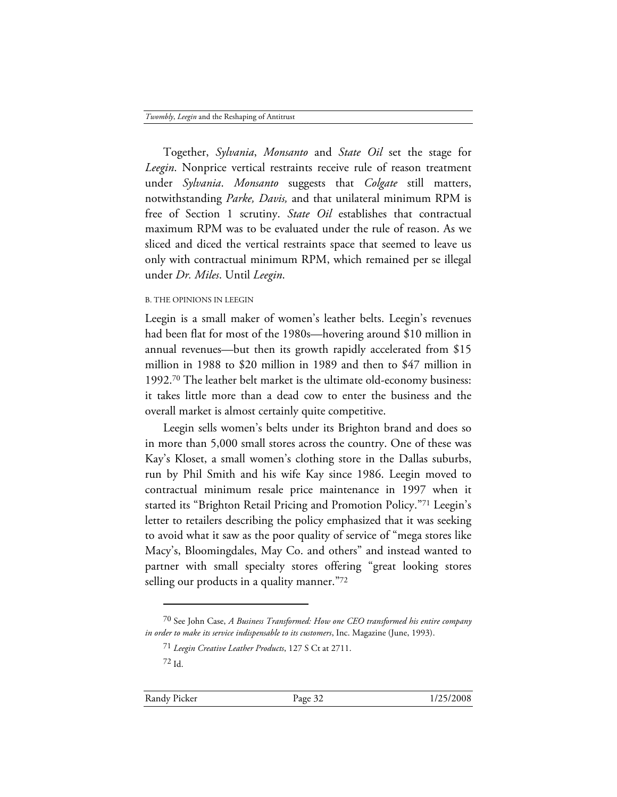Together, *Sylvania*, *Monsanto* and *State Oil* set the stage for *Leegin*. Nonprice vertical restraints receive rule of reason treatment under *Sylvania*. *Monsanto* suggests that *Colgate* still matters, notwithstanding *Parke, Davis,* and that unilateral minimum RPM is free of Section 1 scrutiny. *State Oil* establishes that contractual maximum RPM was to be evaluated under the rule of reason. As we sliced and diced the vertical restraints space that seemed to leave us only with contractual minimum RPM, which remained per se illegal under *Dr. Miles*. Until *Leegin*.

#### B. THE OPINIONS IN LEEGIN

Leegin is a small maker of women's leather belts. Leegin's revenues had been flat for most of the 1980s—hovering around \$10 million in annual revenues—but then its growth rapidly accelerated from \$15 million in 1988 to \$20 million in 1989 and then to \$47 million in 1992.70 The leather belt market is the ultimate old-economy business: it takes little more than a dead cow to enter the business and the overall market is almost certainly quite competitive.

Leegin sells women's belts under its Brighton brand and does so in more than 5,000 small stores across the country. One of these was Kay's Kloset, a small women's clothing store in the Dallas suburbs, run by Phil Smith and his wife Kay since 1986. Leegin moved to contractual minimum resale price maintenance in 1997 when it started its "Brighton Retail Pricing and Promotion Policy."71 Leegin's letter to retailers describing the policy emphasized that it was seeking to avoid what it saw as the poor quality of service of "mega stores like Macy's, Bloomingdales, May Co. and others" and instead wanted to partner with small specialty stores offering "great looking stores selling our products in a quality manner."72

<sup>70</sup> See John Case, *A Business Transformed: How one CEO transformed his entire company in order to make its service indispensable to its customers*, Inc. Magazine (June, 1993).

<sup>71</sup> *Leegin Creative Leather Products*, 127 S Ct at 2711.

<sup>72</sup> Id.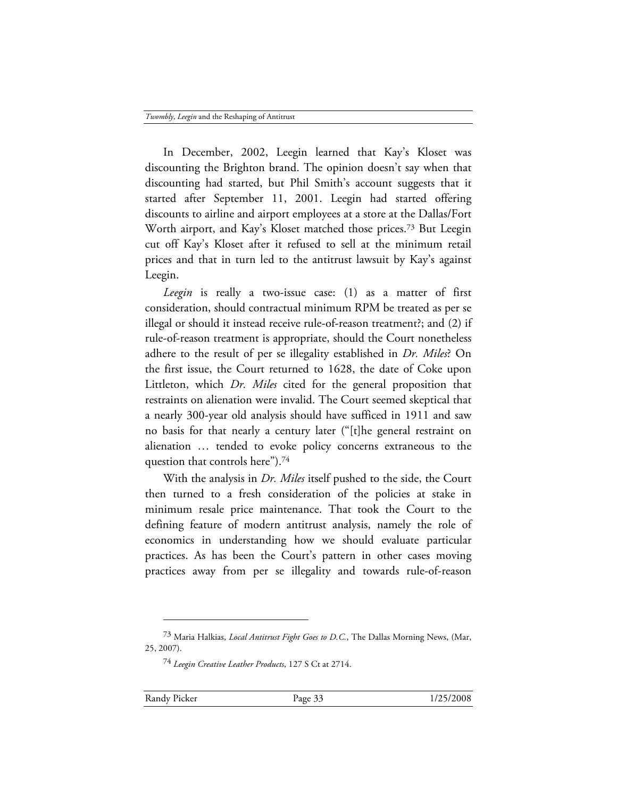In December, 2002, Leegin learned that Kay's Kloset was discounting the Brighton brand. The opinion doesn't say when that discounting had started, but Phil Smith's account suggests that it started after September 11, 2001. Leegin had started offering discounts to airline and airport employees at a store at the Dallas/Fort Worth airport, and Kay's Kloset matched those prices.<sup>73</sup> But Leegin cut off Kay's Kloset after it refused to sell at the minimum retail prices and that in turn led to the antitrust lawsuit by Kay's against Leegin.

*Leegin* is really a two-issue case: (1) as a matter of first consideration, should contractual minimum RPM be treated as per se illegal or should it instead receive rule-of-reason treatment?; and (2) if rule-of-reason treatment is appropriate, should the Court nonetheless adhere to the result of per se illegality established in *Dr. Miles*? On the first issue, the Court returned to 1628, the date of Coke upon Littleton, which *Dr. Miles* cited for the general proposition that restraints on alienation were invalid. The Court seemed skeptical that a nearly 300-year old analysis should have sufficed in 1911 and saw no basis for that nearly a century later ("[t]he general restraint on alienation … tended to evoke policy concerns extraneous to the question that controls here").<sup>74</sup>

With the analysis in *Dr. Miles* itself pushed to the side, the Court then turned to a fresh consideration of the policies at stake in minimum resale price maintenance. That took the Court to the defining feature of modern antitrust analysis, namely the role of economics in understanding how we should evaluate particular practices. As has been the Court's pattern in other cases moving practices away from per se illegality and towards rule-of-reason

-

<sup>73</sup> Maria Halkias, *Local Antitrust Fight Goes to D.C.*, The Dallas Morning News, (Mar, 25, 2007).

<sup>74</sup> *Leegin Creative Leather Products*, 127 S Ct at 2714.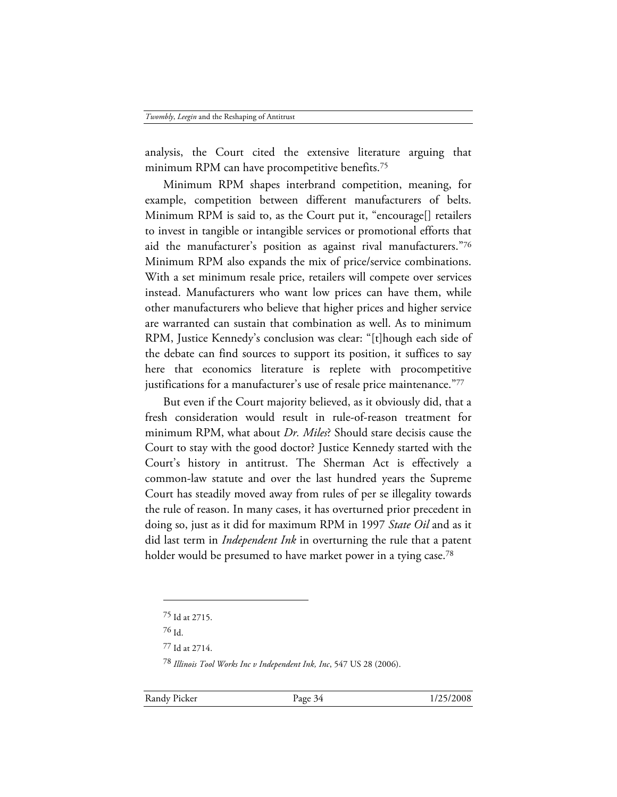analysis, the Court cited the extensive literature arguing that minimum RPM can have procompetitive benefits.75

Minimum RPM shapes interbrand competition, meaning, for example, competition between different manufacturers of belts. Minimum RPM is said to, as the Court put it, "encourage[] retailers to invest in tangible or intangible services or promotional efforts that aid the manufacturer's position as against rival manufacturers."76 Minimum RPM also expands the mix of price/service combinations. With a set minimum resale price, retailers will compete over services instead. Manufacturers who want low prices can have them, while other manufacturers who believe that higher prices and higher service are warranted can sustain that combination as well. As to minimum RPM, Justice Kennedy's conclusion was clear: "[t]hough each side of the debate can find sources to support its position, it suffices to say here that economics literature is replete with procompetitive justifications for a manufacturer's use of resale price maintenance."77

But even if the Court majority believed, as it obviously did, that a fresh consideration would result in rule-of-reason treatment for minimum RPM, what about *Dr. Miles*? Should stare decisis cause the Court to stay with the good doctor? Justice Kennedy started with the Court's history in antitrust. The Sherman Act is effectively a common-law statute and over the last hundred years the Supreme Court has steadily moved away from rules of per se illegality towards the rule of reason. In many cases, it has overturned prior precedent in doing so, just as it did for maximum RPM in 1997 *State Oil* and as it did last term in *Independent Ink* in overturning the rule that a patent holder would be presumed to have market power in a tying case.<sup>78</sup>

<sup>75</sup> Id at 2715.

<sup>76</sup> Id.

<sup>77</sup> Id at 2714.

<sup>78</sup> *Illinois Tool Works Inc v Independent Ink, Inc*, 547 US 28 (2006).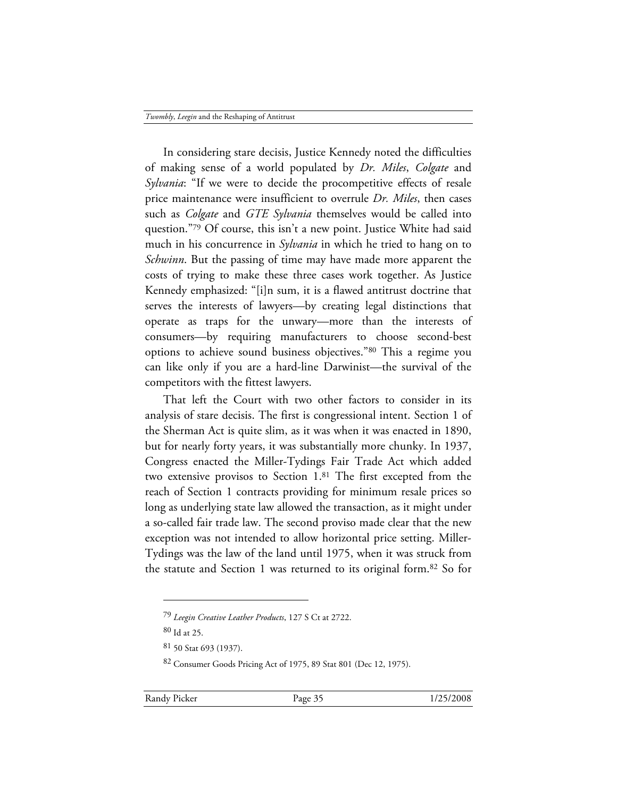In considering stare decisis, Justice Kennedy noted the difficulties of making sense of a world populated by *Dr. Miles*, *Colgate* and *Sylvania*: "If we were to decide the procompetitive effects of resale price maintenance were insufficient to overrule *Dr. Miles*, then cases such as *Colgate* and *GTE Sylvania* themselves would be called into question."79 Of course, this isn't a new point. Justice White had said much in his concurrence in *Sylvania* in which he tried to hang on to *Schwinn*. But the passing of time may have made more apparent the costs of trying to make these three cases work together. As Justice Kennedy emphasized: "[i]n sum, it is a flawed antitrust doctrine that serves the interests of lawyers—by creating legal distinctions that operate as traps for the unwary—more than the interests of consumers—by requiring manufacturers to choose second-best options to achieve sound business objectives."80 This a regime you can like only if you are a hard-line Darwinist—the survival of the competitors with the fittest lawyers.

That left the Court with two other factors to consider in its analysis of stare decisis. The first is congressional intent. Section 1 of the Sherman Act is quite slim, as it was when it was enacted in 1890, but for nearly forty years, it was substantially more chunky. In 1937, Congress enacted the Miller-Tydings Fair Trade Act which added two extensive provisos to Section 1.81 The first excepted from the reach of Section 1 contracts providing for minimum resale prices so long as underlying state law allowed the transaction, as it might under a so-called fair trade law. The second proviso made clear that the new exception was not intended to allow horizontal price setting. Miller-Tydings was the law of the land until 1975, when it was struck from the statute and Section 1 was returned to its original form.82 So for

-

<sup>79</sup> *Leegin Creative Leather Products*, 127 S Ct at 2722.

<sup>80</sup> Id at 25.

<sup>81 50</sup> Stat 693 (1937).

<sup>82</sup> Consumer Goods Pricing Act of 1975, 89 Stat 801 (Dec 12, 1975).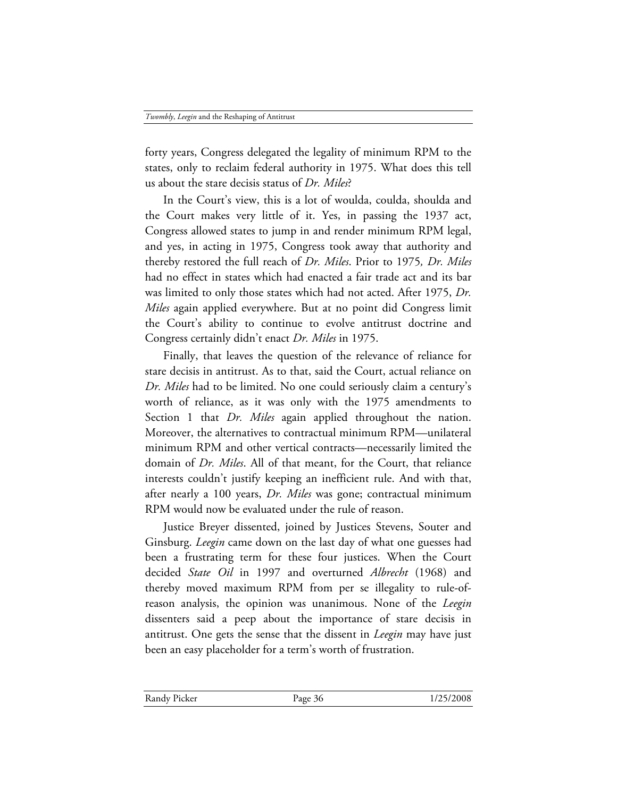forty years, Congress delegated the legality of minimum RPM to the states, only to reclaim federal authority in 1975. What does this tell us about the stare decisis status of *Dr. Miles*?

In the Court's view, this is a lot of woulda, coulda, shoulda and the Court makes very little of it. Yes, in passing the 1937 act, Congress allowed states to jump in and render minimum RPM legal, and yes, in acting in 1975, Congress took away that authority and thereby restored the full reach of *Dr. Miles*. Prior to 1975*, Dr. Miles* had no effect in states which had enacted a fair trade act and its bar was limited to only those states which had not acted. After 1975, *Dr. Miles* again applied everywhere. But at no point did Congress limit the Court's ability to continue to evolve antitrust doctrine and Congress certainly didn't enact *Dr. Miles* in 1975.

Finally, that leaves the question of the relevance of reliance for stare decisis in antitrust. As to that, said the Court, actual reliance on *Dr. Miles* had to be limited. No one could seriously claim a century's worth of reliance, as it was only with the 1975 amendments to Section 1 that *Dr. Miles* again applied throughout the nation. Moreover, the alternatives to contractual minimum RPM—unilateral minimum RPM and other vertical contracts—necessarily limited the domain of *Dr. Miles*. All of that meant, for the Court, that reliance interests couldn't justify keeping an inefficient rule. And with that, after nearly a 100 years, *Dr. Miles* was gone; contractual minimum RPM would now be evaluated under the rule of reason.

Justice Breyer dissented, joined by Justices Stevens, Souter and Ginsburg. *Leegin* came down on the last day of what one guesses had been a frustrating term for these four justices. When the Court decided *State Oil* in 1997 and overturned *Albrecht* (1968) and thereby moved maximum RPM from per se illegality to rule-ofreason analysis, the opinion was unanimous. None of the *Leegin* dissenters said a peep about the importance of stare decisis in antitrust. One gets the sense that the dissent in *Leegin* may have just been an easy placeholder for a term's worth of frustration.

| Randy Picker | Page 36 | 1/25/2008 |
|--------------|---------|-----------|
|--------------|---------|-----------|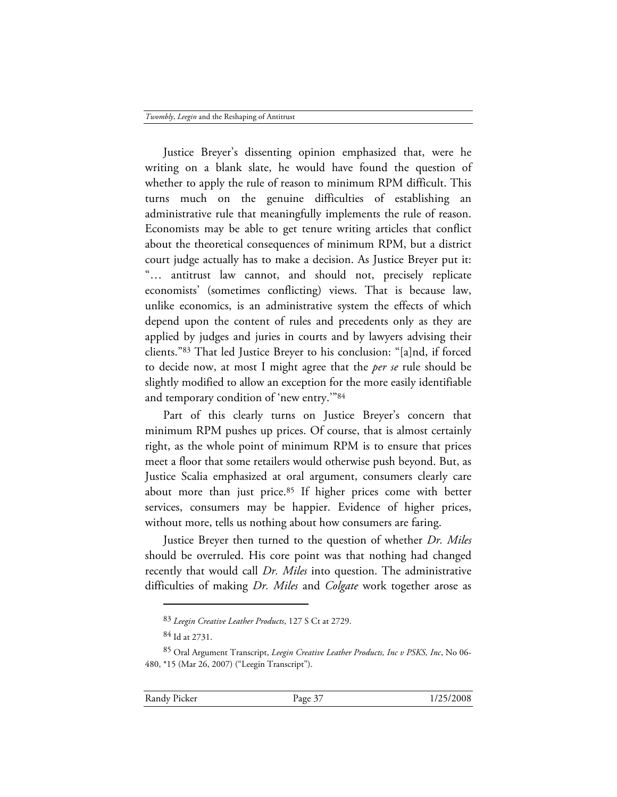Justice Breyer's dissenting opinion emphasized that, were he writing on a blank slate, he would have found the question of whether to apply the rule of reason to minimum RPM difficult. This turns much on the genuine difficulties of establishing an administrative rule that meaningfully implements the rule of reason. Economists may be able to get tenure writing articles that conflict about the theoretical consequences of minimum RPM, but a district court judge actually has to make a decision. As Justice Breyer put it: "… antitrust law cannot, and should not, precisely replicate economists' (sometimes conflicting) views. That is because law, unlike economics, is an administrative system the effects of which depend upon the content of rules and precedents only as they are applied by judges and juries in courts and by lawyers advising their clients."83 That led Justice Breyer to his conclusion: "[a]nd, if forced to decide now, at most I might agree that the *per se* rule should be slightly modified to allow an exception for the more easily identifiable and temporary condition of 'new entry.'"84

Part of this clearly turns on Justice Breyer's concern that minimum RPM pushes up prices. Of course, that is almost certainly right, as the whole point of minimum RPM is to ensure that prices meet a floor that some retailers would otherwise push beyond. But, as Justice Scalia emphasized at oral argument, consumers clearly care about more than just price.85 If higher prices come with better services, consumers may be happier. Evidence of higher prices, without more, tells us nothing about how consumers are faring.

Justice Breyer then turned to the question of whether *Dr. Miles* should be overruled. His core point was that nothing had changed recently that would call *Dr. Miles* into question. The administrative difficulties of making *Dr. Miles* and *Colgate* work together arose as

-

| Randy Picker | Page 37 | 1/25/2008 |
|--------------|---------|-----------|
|--------------|---------|-----------|

<sup>83</sup> *Leegin Creative Leather Products*, 127 S Ct at 2729.

<sup>84</sup> Id at 2731.

<sup>85</sup> Oral Argument Transcript, *Leegin Creative Leather Products, Inc v PSKS, Inc*, No 06- 480, \*15 (Mar 26, 2007) ("Leegin Transcript").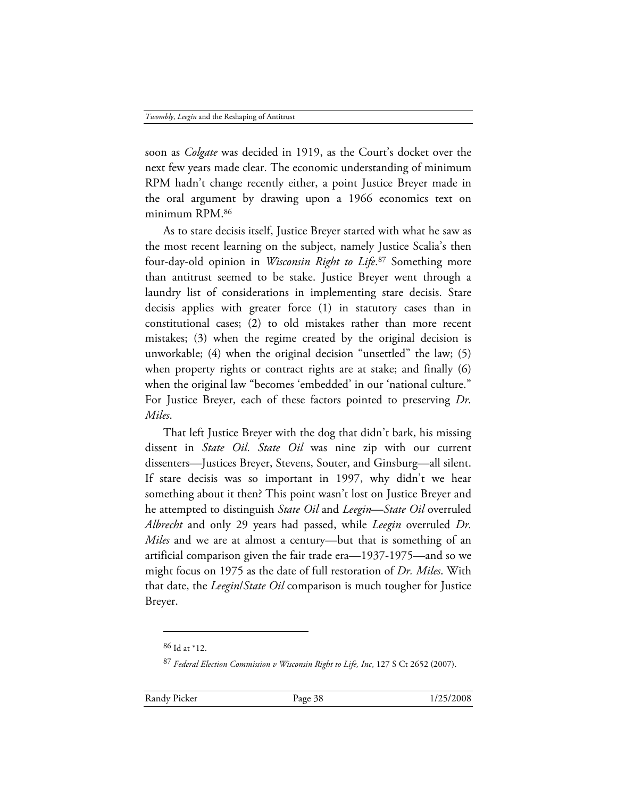soon as *Colgate* was decided in 1919, as the Court's docket over the next few years made clear. The economic understanding of minimum RPM hadn't change recently either, a point Justice Breyer made in the oral argument by drawing upon a 1966 economics text on minimum RPM.86

As to stare decisis itself, Justice Breyer started with what he saw as the most recent learning on the subject, namely Justice Scalia's then four-day-old opinion in *Wisconsin Right to Life*.87 Something more than antitrust seemed to be stake. Justice Breyer went through a laundry list of considerations in implementing stare decisis. Stare decisis applies with greater force (1) in statutory cases than in constitutional cases; (2) to old mistakes rather than more recent mistakes; (3) when the regime created by the original decision is unworkable; (4) when the original decision "unsettled" the law; (5) when property rights or contract rights are at stake; and finally (6) when the original law "becomes 'embedded' in our 'national culture." For Justice Breyer, each of these factors pointed to preserving *Dr. Miles*.

That left Justice Breyer with the dog that didn't bark, his missing dissent in *State Oil*. *State Oil* was nine zip with our current dissenters—Justices Breyer, Stevens, Souter, and Ginsburg—all silent. If stare decisis was so important in 1997, why didn't we hear something about it then? This point wasn't lost on Justice Breyer and he attempted to distinguish *State Oil* and *Leegin*—*State Oil* overruled *Albrecht* and only 29 years had passed, while *Leegin* overruled *Dr. Miles* and we are at almost a century—but that is something of an artificial comparison given the fair trade era—1937-1975—and so we might focus on 1975 as the date of full restoration of *Dr. Miles*. With that date, the *Leegin*/*State Oil* comparison is much tougher for Justice Breyer.

<sup>86</sup> Id at \*12.

<sup>87</sup> *Federal Election Commission v Wisconsin Right to Life, Inc*, 127 S Ct 2652 (2007).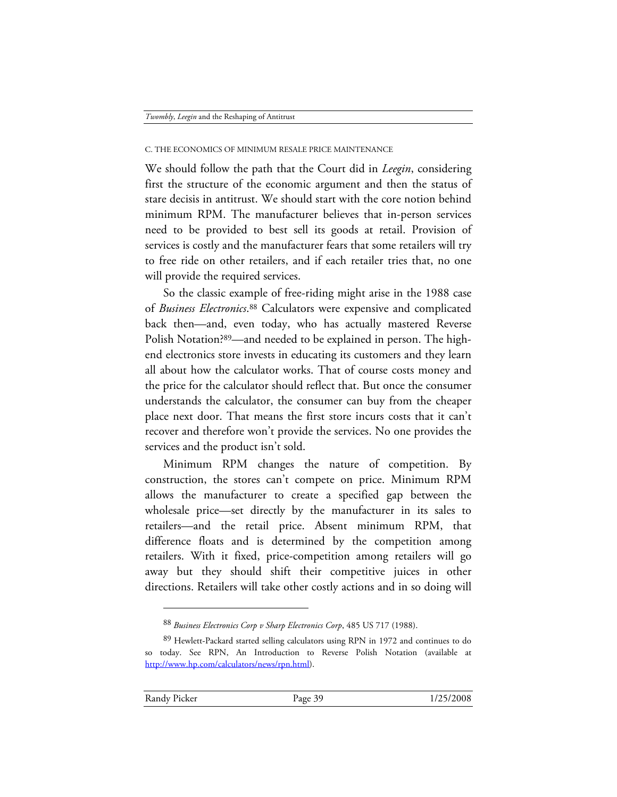#### C. THE ECONOMICS OF MINIMUM RESALE PRICE MAINTENANCE

We should follow the path that the Court did in *Leegin*, considering first the structure of the economic argument and then the status of stare decisis in antitrust. We should start with the core notion behind minimum RPM. The manufacturer believes that in-person services need to be provided to best sell its goods at retail. Provision of services is costly and the manufacturer fears that some retailers will try to free ride on other retailers, and if each retailer tries that, no one will provide the required services.

So the classic example of free-riding might arise in the 1988 case of *Business Electronics*. 88 Calculators were expensive and complicated back then—and, even today, who has actually mastered Reverse Polish Notation?89—and needed to be explained in person. The highend electronics store invests in educating its customers and they learn all about how the calculator works. That of course costs money and the price for the calculator should reflect that. But once the consumer understands the calculator, the consumer can buy from the cheaper place next door. That means the first store incurs costs that it can't recover and therefore won't provide the services. No one provides the services and the product isn't sold.

Minimum RPM changes the nature of competition. By construction, the stores can't compete on price. Minimum RPM allows the manufacturer to create a specified gap between the wholesale price—set directly by the manufacturer in its sales to retailers—and the retail price. Absent minimum RPM, that difference floats and is determined by the competition among retailers. With it fixed, price-competition among retailers will go away but they should shift their competitive juices in other directions. Retailers will take other costly actions and in so doing will

| Randy Picker | Page 39 | 1/25/2008 |
|--------------|---------|-----------|
|--------------|---------|-----------|

<sup>88</sup> *Business Electronics Corp v Sharp Electronics Corp*, 485 US 717 (1988).

<sup>89</sup> Hewlett-Packard started selling calculators using RPN in 1972 and continues to do so today. See RPN, An Introduction to Reverse Polish Notation (available at http://www.hp.com/calculators/news/rpn.html).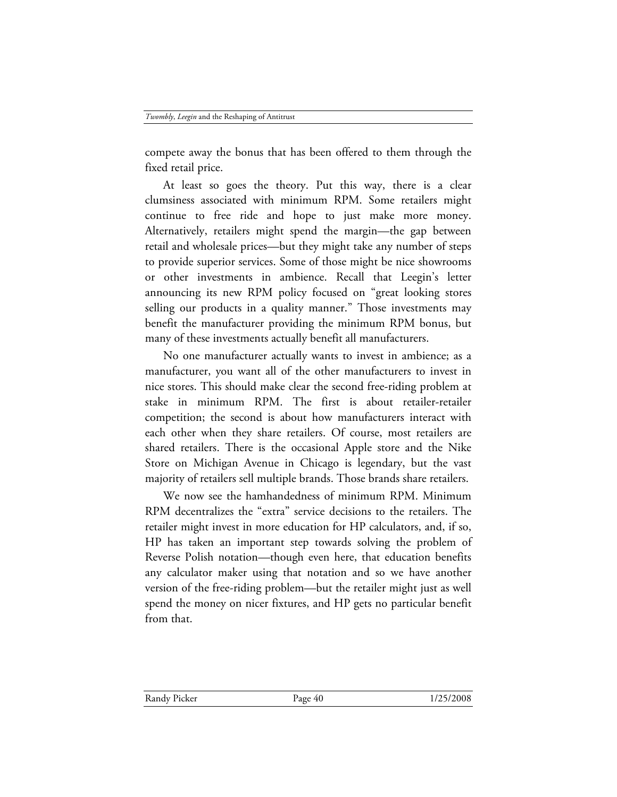compete away the bonus that has been offered to them through the fixed retail price.

At least so goes the theory. Put this way, there is a clear clumsiness associated with minimum RPM. Some retailers might continue to free ride and hope to just make more money. Alternatively, retailers might spend the margin—the gap between retail and wholesale prices—but they might take any number of steps to provide superior services. Some of those might be nice showrooms or other investments in ambience. Recall that Leegin's letter announcing its new RPM policy focused on "great looking stores selling our products in a quality manner." Those investments may benefit the manufacturer providing the minimum RPM bonus, but many of these investments actually benefit all manufacturers.

No one manufacturer actually wants to invest in ambience; as a manufacturer, you want all of the other manufacturers to invest in nice stores. This should make clear the second free-riding problem at stake in minimum RPM. The first is about retailer-retailer competition; the second is about how manufacturers interact with each other when they share retailers. Of course, most retailers are shared retailers. There is the occasional Apple store and the Nike Store on Michigan Avenue in Chicago is legendary, but the vast majority of retailers sell multiple brands. Those brands share retailers.

We now see the hamhandedness of minimum RPM. Minimum RPM decentralizes the "extra" service decisions to the retailers. The retailer might invest in more education for HP calculators, and, if so, HP has taken an important step towards solving the problem of Reverse Polish notation—though even here, that education benefits any calculator maker using that notation and so we have another version of the free-riding problem—but the retailer might just as well spend the money on nicer fixtures, and HP gets no particular benefit from that.

| Randy Picker |  |
|--------------|--|
|              |  |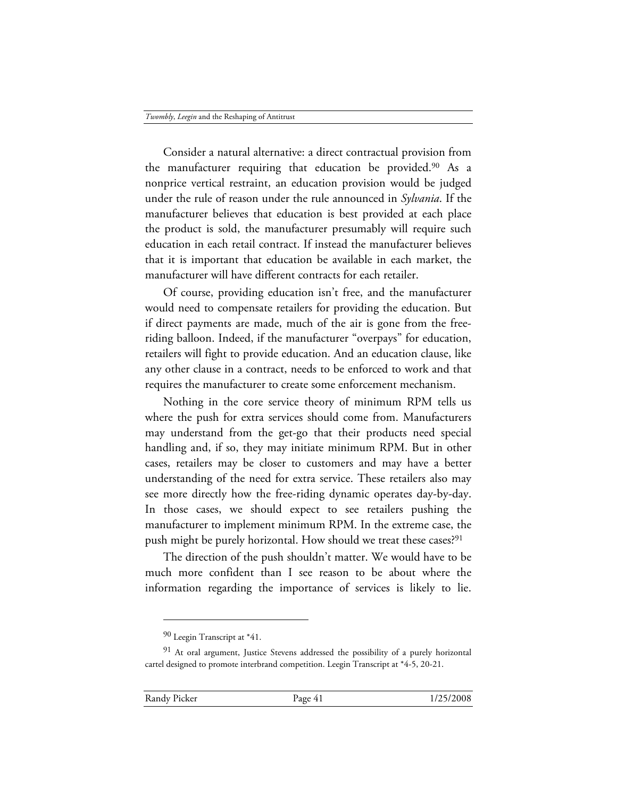Consider a natural alternative: a direct contractual provision from the manufacturer requiring that education be provided.90 As a nonprice vertical restraint, an education provision would be judged under the rule of reason under the rule announced in *Sylvania*. If the manufacturer believes that education is best provided at each place the product is sold, the manufacturer presumably will require such education in each retail contract. If instead the manufacturer believes that it is important that education be available in each market, the manufacturer will have different contracts for each retailer.

Of course, providing education isn't free, and the manufacturer would need to compensate retailers for providing the education. But if direct payments are made, much of the air is gone from the freeriding balloon. Indeed, if the manufacturer "overpays" for education, retailers will fight to provide education. And an education clause, like any other clause in a contract, needs to be enforced to work and that requires the manufacturer to create some enforcement mechanism.

Nothing in the core service theory of minimum RPM tells us where the push for extra services should come from. Manufacturers may understand from the get-go that their products need special handling and, if so, they may initiate minimum RPM. But in other cases, retailers may be closer to customers and may have a better understanding of the need for extra service. These retailers also may see more directly how the free-riding dynamic operates day-by-day. In those cases, we should expect to see retailers pushing the manufacturer to implement minimum RPM. In the extreme case, the push might be purely horizontal. How should we treat these cases?<sup>91</sup>

The direction of the push shouldn't matter. We would have to be much more confident than I see reason to be about where the information regarding the importance of services is likely to lie.

-

<sup>90</sup> Leegin Transcript at \*41.

<sup>91</sup> At oral argument, Justice Stevens addressed the possibility of a purely horizontal cartel designed to promote interbrand competition. Leegin Transcript at \*4-5, 20-21.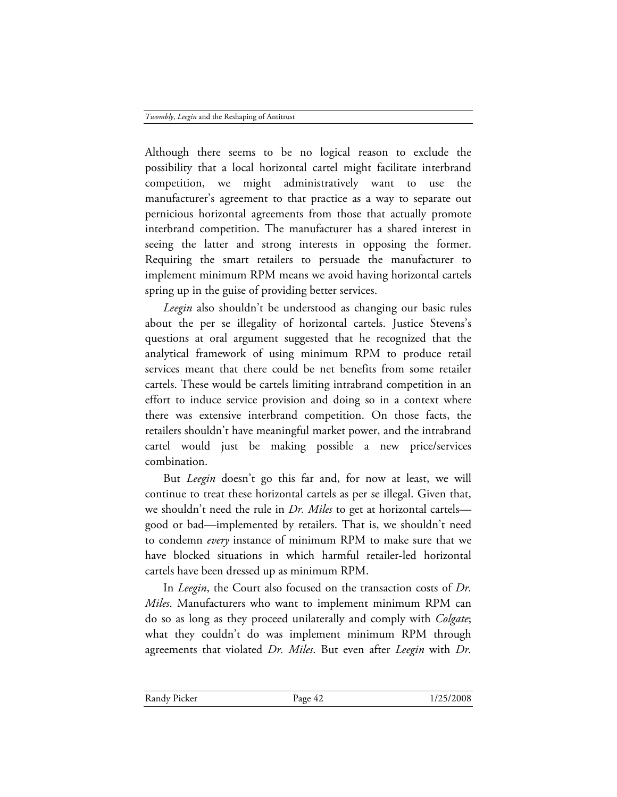Although there seems to be no logical reason to exclude the possibility that a local horizontal cartel might facilitate interbrand competition, we might administratively want to use the manufacturer's agreement to that practice as a way to separate out pernicious horizontal agreements from those that actually promote interbrand competition. The manufacturer has a shared interest in seeing the latter and strong interests in opposing the former. Requiring the smart retailers to persuade the manufacturer to implement minimum RPM means we avoid having horizontal cartels spring up in the guise of providing better services.

*Leegin* also shouldn't be understood as changing our basic rules about the per se illegality of horizontal cartels. Justice Stevens's questions at oral argument suggested that he recognized that the analytical framework of using minimum RPM to produce retail services meant that there could be net benefits from some retailer cartels. These would be cartels limiting intrabrand competition in an effort to induce service provision and doing so in a context where there was extensive interbrand competition. On those facts, the retailers shouldn't have meaningful market power, and the intrabrand cartel would just be making possible a new price/services combination.

But *Leegin* doesn't go this far and, for now at least, we will continue to treat these horizontal cartels as per se illegal. Given that, we shouldn't need the rule in *Dr. Miles* to get at horizontal cartels good or bad—implemented by retailers. That is, we shouldn't need to condemn *every* instance of minimum RPM to make sure that we have blocked situations in which harmful retailer-led horizontal cartels have been dressed up as minimum RPM.

In *Leegin*, the Court also focused on the transaction costs of *Dr. Miles*. Manufacturers who want to implement minimum RPM can do so as long as they proceed unilaterally and comply with *Colgate*; what they couldn't do was implement minimum RPM through agreements that violated *Dr. Miles*. But even after *Leegin* with *Dr.* 

| Randy Picker | Page 42 | 1/25/2008 |
|--------------|---------|-----------|
|--------------|---------|-----------|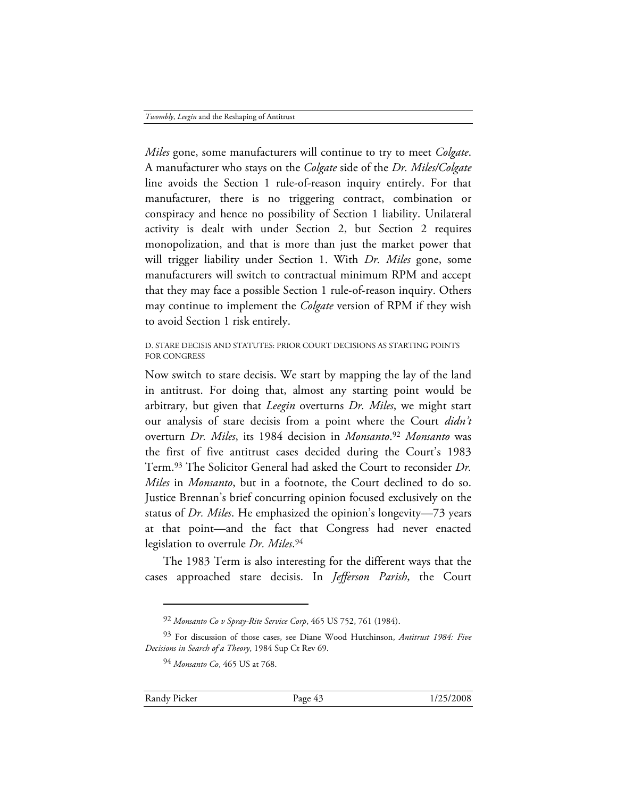*Miles* gone, some manufacturers will continue to try to meet *Colgate*. A manufacturer who stays on the *Colgate* side of the *Dr. Miles/Colgate* line avoids the Section 1 rule-of-reason inquiry entirely. For that manufacturer, there is no triggering contract, combination or conspiracy and hence no possibility of Section 1 liability. Unilateral activity is dealt with under Section 2, but Section 2 requires monopolization, and that is more than just the market power that will trigger liability under Section 1. With *Dr. Miles* gone, some manufacturers will switch to contractual minimum RPM and accept that they may face a possible Section 1 rule-of-reason inquiry. Others may continue to implement the *Colgate* version of RPM if they wish to avoid Section 1 risk entirely.

D. STARE DECISIS AND STATUTES: PRIOR COURT DECISIONS AS STARTING POINTS FOR CONGRESS

Now switch to stare decisis. We start by mapping the lay of the land in antitrust. For doing that, almost any starting point would be arbitrary, but given that *Leegin* overturns *Dr. Miles*, we might start our analysis of stare decisis from a point where the Court *didn't* overturn *Dr. Miles*, its 1984 decision in *Monsanto*.92 *Monsanto* was the first of five antitrust cases decided during the Court's 1983 Term.93 The Solicitor General had asked the Court to reconsider *Dr. Miles* in *Monsanto*, but in a footnote, the Court declined to do so. Justice Brennan's brief concurring opinion focused exclusively on the status of *Dr. Miles*. He emphasized the opinion's longevity—73 years at that point—and the fact that Congress had never enacted legislation to overrule *Dr. Miles*. 94

The 1983 Term is also interesting for the different ways that the cases approached stare decisis. In *Jefferson Parish*, the Court

<sup>92</sup> *Monsanto Co v Spray-Rite Service Corp*, 465 US 752, 761 (1984).

<sup>93</sup> For discussion of those cases, see Diane Wood Hutchinson, *Antitrust 1984: Five Decisions in Search of a Theory*, 1984 Sup Ct Rev 69.

<sup>94</sup> *Monsanto Co*, 465 US at 768.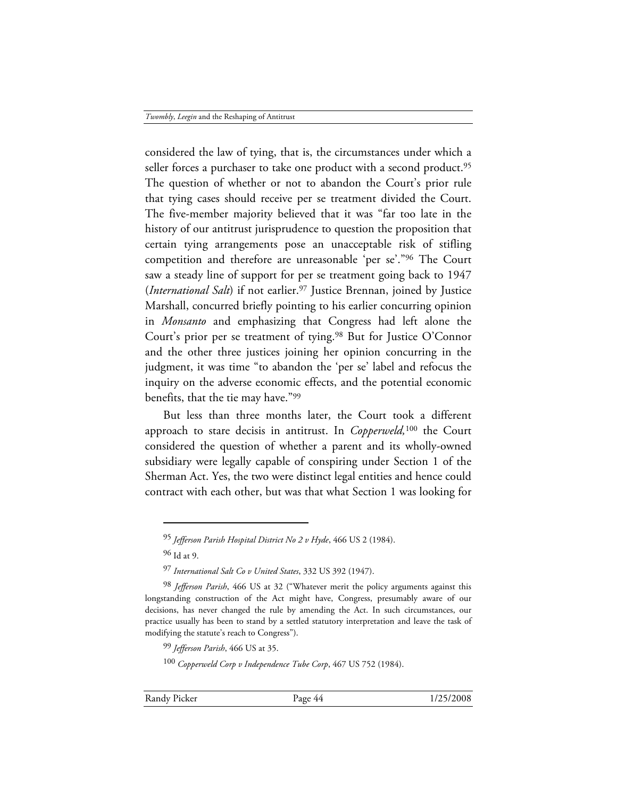considered the law of tying, that is, the circumstances under which a seller forces a purchaser to take one product with a second product.<sup>95</sup> The question of whether or not to abandon the Court's prior rule that tying cases should receive per se treatment divided the Court. The five-member majority believed that it was "far too late in the history of our antitrust jurisprudence to question the proposition that certain tying arrangements pose an unacceptable risk of stifling competition and therefore are unreasonable 'per se'."96 The Court saw a steady line of support for per se treatment going back to 1947 (*International Salt*) if not earlier.97 Justice Brennan, joined by Justice Marshall, concurred briefly pointing to his earlier concurring opinion in *Monsanto* and emphasizing that Congress had left alone the Court's prior per se treatment of tying.98 But for Justice O'Connor and the other three justices joining her opinion concurring in the judgment, it was time "to abandon the 'per se' label and refocus the inquiry on the adverse economic effects, and the potential economic benefits, that the tie may have."99

But less than three months later, the Court took a different approach to stare decisis in antitrust. In *Copperweld,*100 the Court considered the question of whether a parent and its wholly-owned subsidiary were legally capable of conspiring under Section 1 of the Sherman Act. Yes, the two were distinct legal entities and hence could contract with each other, but was that what Section 1 was looking for

-

<sup>95</sup> *Jefferson Parish Hospital District No 2 v Hyde*, 466 US 2 (1984).

<sup>96</sup> Id at 9.

<sup>97</sup> *International Salt Co v United States*, 332 US 392 (1947).

<sup>98</sup> *Jefferson Parish*, 466 US at 32 ("Whatever merit the policy arguments against this longstanding construction of the Act might have, Congress, presumably aware of our decisions, has never changed the rule by amending the Act. In such circumstances, our practice usually has been to stand by a settled statutory interpretation and leave the task of modifying the statute's reach to Congress").

<sup>99</sup> *Jefferson Parish*, 466 US at 35.

<sup>100</sup> *Copperweld Corp v Independence Tube Corp*, 467 US 752 (1984).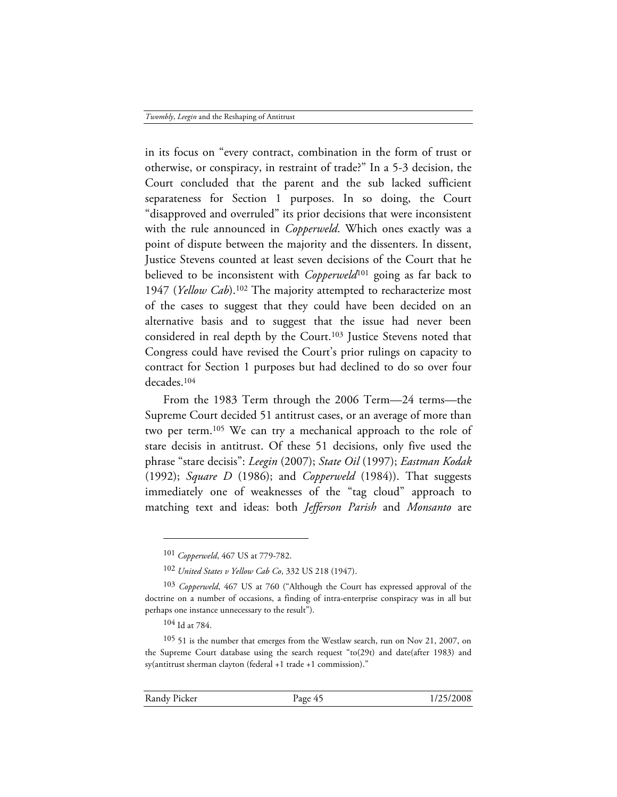in its focus on "every contract, combination in the form of trust or otherwise, or conspiracy, in restraint of trade?" In a 5-3 decision, the Court concluded that the parent and the sub lacked sufficient separateness for Section 1 purposes. In so doing, the Court "disapproved and overruled" its prior decisions that were inconsistent with the rule announced in *Copperweld*. Which ones exactly was a point of dispute between the majority and the dissenters. In dissent, Justice Stevens counted at least seven decisions of the Court that he believed to be inconsistent with *Copperweld*101 going as far back to 1947 (*Yellow Cab*).102 The majority attempted to recharacterize most of the cases to suggest that they could have been decided on an alternative basis and to suggest that the issue had never been considered in real depth by the Court.103 Justice Stevens noted that Congress could have revised the Court's prior rulings on capacity to contract for Section 1 purposes but had declined to do so over four decades.104

From the 1983 Term through the 2006 Term—24 terms—the Supreme Court decided 51 antitrust cases, or an average of more than two per term.105 We can try a mechanical approach to the role of stare decisis in antitrust. Of these 51 decisions, only five used the phrase "stare decisis": *Leegin* (2007); *State Oil* (1997); *Eastman Kodak* (1992); *Square D* (1986); and *Copperweld* (1984)). That suggests immediately one of weaknesses of the "tag cloud" approach to matching text and ideas: both *Jefferson Parish* and *Monsanto* are

<sup>101</sup> *Copperweld*, 467 US at 779-782.

<sup>102</sup> *United States v Yellow Cab Co*, 332 US 218 (1947).

<sup>103</sup> *Copperweld*, 467 US at 760 ("Although the Court has expressed approval of the doctrine on a number of occasions, a finding of intra-enterprise conspiracy was in all but perhaps one instance unnecessary to the result").

<sup>104</sup> Id at 784.

<sup>105 51</sup> is the number that emerges from the Westlaw search, run on Nov 21, 2007, on the Supreme Court database using the search request "to(29t) and date(after 1983) and sy(antitrust sherman clayton (federal +1 trade +1 commission)."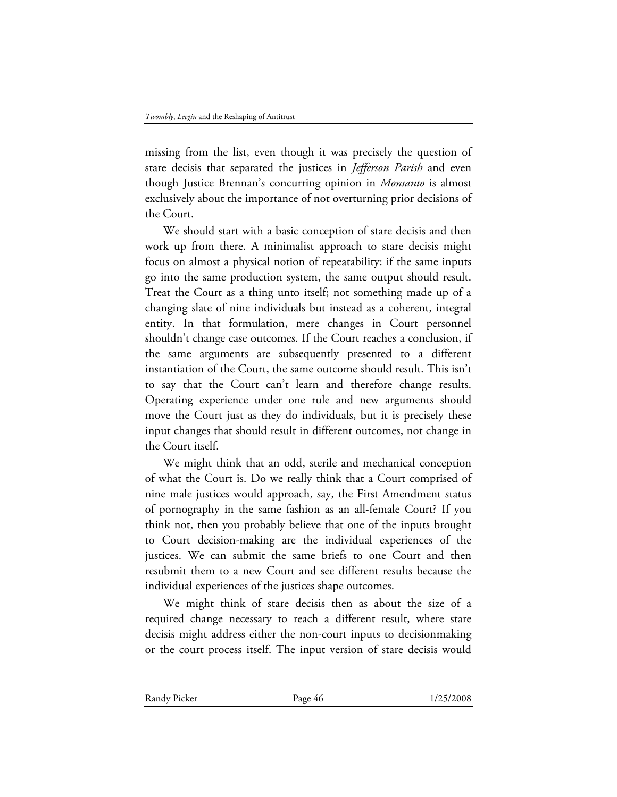missing from the list, even though it was precisely the question of stare decisis that separated the justices in *Jefferson Parish* and even though Justice Brennan's concurring opinion in *Monsanto* is almost exclusively about the importance of not overturning prior decisions of the Court.

We should start with a basic conception of stare decisis and then work up from there. A minimalist approach to stare decisis might focus on almost a physical notion of repeatability: if the same inputs go into the same production system, the same output should result. Treat the Court as a thing unto itself; not something made up of a changing slate of nine individuals but instead as a coherent, integral entity. In that formulation, mere changes in Court personnel shouldn't change case outcomes. If the Court reaches a conclusion, if the same arguments are subsequently presented to a different instantiation of the Court, the same outcome should result. This isn't to say that the Court can't learn and therefore change results. Operating experience under one rule and new arguments should move the Court just as they do individuals, but it is precisely these input changes that should result in different outcomes, not change in the Court itself.

We might think that an odd, sterile and mechanical conception of what the Court is. Do we really think that a Court comprised of nine male justices would approach, say, the First Amendment status of pornography in the same fashion as an all-female Court? If you think not, then you probably believe that one of the inputs brought to Court decision-making are the individual experiences of the justices. We can submit the same briefs to one Court and then resubmit them to a new Court and see different results because the individual experiences of the justices shape outcomes.

We might think of stare decisis then as about the size of a required change necessary to reach a different result, where stare decisis might address either the non-court inputs to decisionmaking or the court process itself. The input version of stare decisis would

| Randy Picker | Page 46 | 1/25/2008 |
|--------------|---------|-----------|
|--------------|---------|-----------|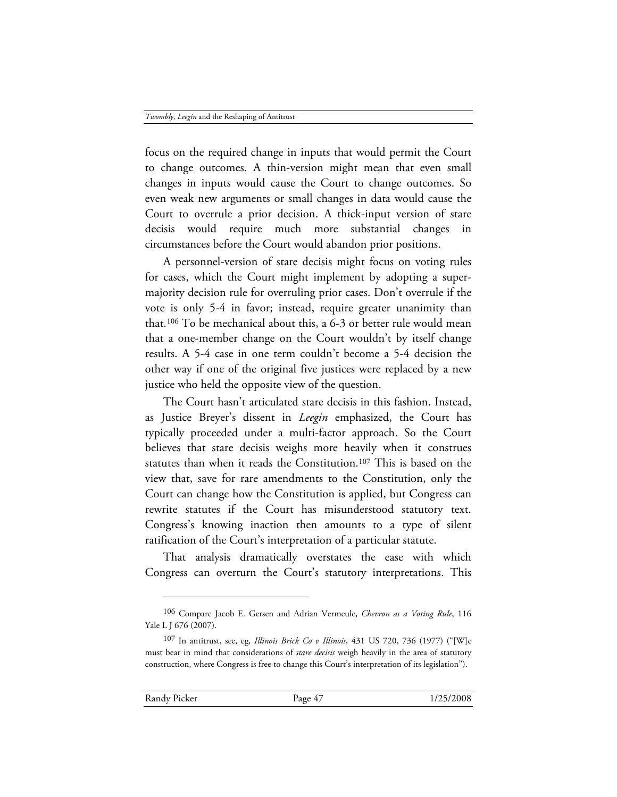focus on the required change in inputs that would permit the Court to change outcomes. A thin-version might mean that even small changes in inputs would cause the Court to change outcomes. So even weak new arguments or small changes in data would cause the Court to overrule a prior decision. A thick-input version of stare decisis would require much more substantial changes in circumstances before the Court would abandon prior positions.

A personnel-version of stare decisis might focus on voting rules for cases, which the Court might implement by adopting a supermajority decision rule for overruling prior cases. Don't overrule if the vote is only 5-4 in favor; instead, require greater unanimity than that.106 To be mechanical about this, a 6-3 or better rule would mean that a one-member change on the Court wouldn't by itself change results. A 5-4 case in one term couldn't become a 5-4 decision the other way if one of the original five justices were replaced by a new justice who held the opposite view of the question.

The Court hasn't articulated stare decisis in this fashion. Instead, as Justice Breyer's dissent in *Leegin* emphasized, the Court has typically proceeded under a multi-factor approach. So the Court believes that stare decisis weighs more heavily when it construes statutes than when it reads the Constitution.<sup>107</sup> This is based on the view that, save for rare amendments to the Constitution, only the Court can change how the Constitution is applied, but Congress can rewrite statutes if the Court has misunderstood statutory text. Congress's knowing inaction then amounts to a type of silent ratification of the Court's interpretation of a particular statute.

That analysis dramatically overstates the ease with which Congress can overturn the Court's statutory interpretations. This

<sup>106</sup> Compare Jacob E. Gersen and Adrian Vermeule, *Chevron as a Voting Rule*, 116 Yale L J 676 (2007).

<sup>107</sup> In antitrust, see, eg, *Illinois Brick Co v Illinois*, 431 US 720, 736 (1977) ("[W]e must bear in mind that considerations of *stare decisis* weigh heavily in the area of statutory construction, where Congress is free to change this Court's interpretation of its legislation").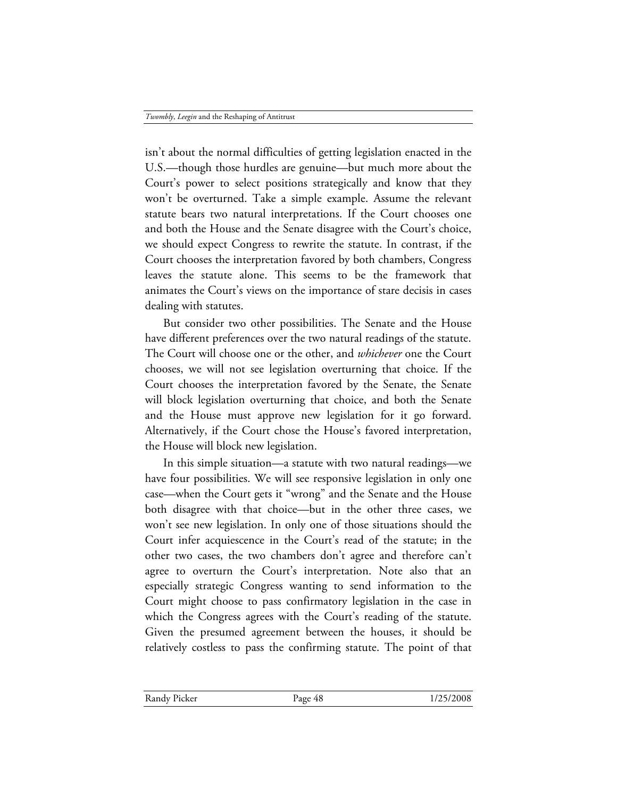isn't about the normal difficulties of getting legislation enacted in the U.S.—though those hurdles are genuine—but much more about the Court's power to select positions strategically and know that they won't be overturned. Take a simple example. Assume the relevant statute bears two natural interpretations. If the Court chooses one and both the House and the Senate disagree with the Court's choice, we should expect Congress to rewrite the statute. In contrast, if the Court chooses the interpretation favored by both chambers, Congress leaves the statute alone. This seems to be the framework that animates the Court's views on the importance of stare decisis in cases dealing with statutes.

But consider two other possibilities. The Senate and the House have different preferences over the two natural readings of the statute. The Court will choose one or the other, and *whichever* one the Court chooses, we will not see legislation overturning that choice. If the Court chooses the interpretation favored by the Senate, the Senate will block legislation overturning that choice, and both the Senate and the House must approve new legislation for it go forward. Alternatively, if the Court chose the House's favored interpretation, the House will block new legislation.

In this simple situation—a statute with two natural readings—we have four possibilities. We will see responsive legislation in only one case—when the Court gets it "wrong" and the Senate and the House both disagree with that choice—but in the other three cases, we won't see new legislation. In only one of those situations should the Court infer acquiescence in the Court's read of the statute; in the other two cases, the two chambers don't agree and therefore can't agree to overturn the Court's interpretation. Note also that an especially strategic Congress wanting to send information to the Court might choose to pass confirmatory legislation in the case in which the Congress agrees with the Court's reading of the statute. Given the presumed agreement between the houses, it should be relatively costless to pass the confirming statute. The point of that

| Randy Picker | Page 48 | 1/25/2008 |
|--------------|---------|-----------|
|--------------|---------|-----------|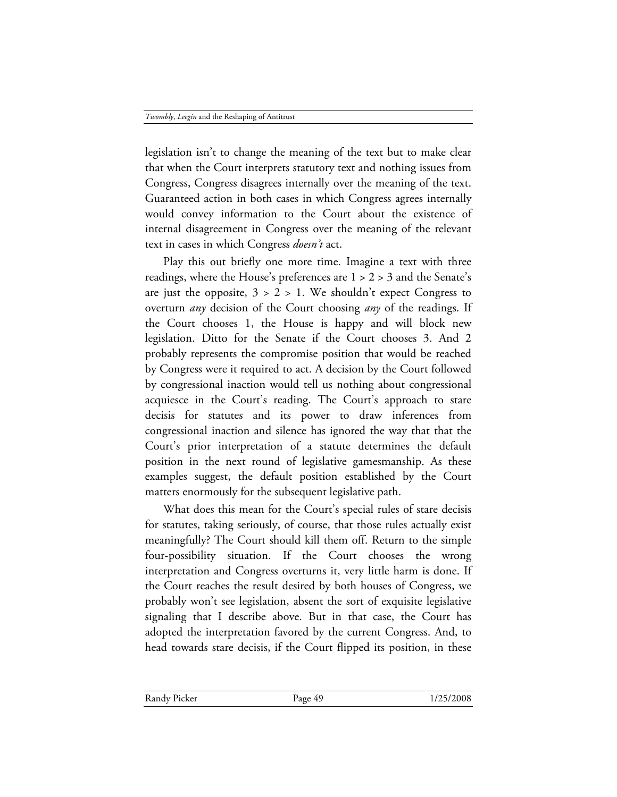legislation isn't to change the meaning of the text but to make clear that when the Court interprets statutory text and nothing issues from Congress, Congress disagrees internally over the meaning of the text. Guaranteed action in both cases in which Congress agrees internally would convey information to the Court about the existence of internal disagreement in Congress over the meaning of the relevant text in cases in which Congress *doesn't* act.

Play this out briefly one more time. Imagine a text with three readings, where the House's preferences are 1 > 2 > 3 and the Senate's are just the opposite,  $3 > 2 > 1$ . We shouldn't expect Congress to overturn *any* decision of the Court choosing *any* of the readings. If the Court chooses 1, the House is happy and will block new legislation. Ditto for the Senate if the Court chooses 3. And 2 probably represents the compromise position that would be reached by Congress were it required to act. A decision by the Court followed by congressional inaction would tell us nothing about congressional acquiesce in the Court's reading. The Court's approach to stare decisis for statutes and its power to draw inferences from congressional inaction and silence has ignored the way that that the Court's prior interpretation of a statute determines the default position in the next round of legislative gamesmanship. As these examples suggest, the default position established by the Court matters enormously for the subsequent legislative path.

What does this mean for the Court's special rules of stare decisis for statutes, taking seriously, of course, that those rules actually exist meaningfully? The Court should kill them off. Return to the simple four-possibility situation. If the Court chooses the wrong interpretation and Congress overturns it, very little harm is done. If the Court reaches the result desired by both houses of Congress, we probably won't see legislation, absent the sort of exquisite legislative signaling that I describe above. But in that case, the Court has adopted the interpretation favored by the current Congress. And, to head towards stare decisis, if the Court flipped its position, in these

| Randy Picker | Page 49 | 1/25/2008 |
|--------------|---------|-----------|
|--------------|---------|-----------|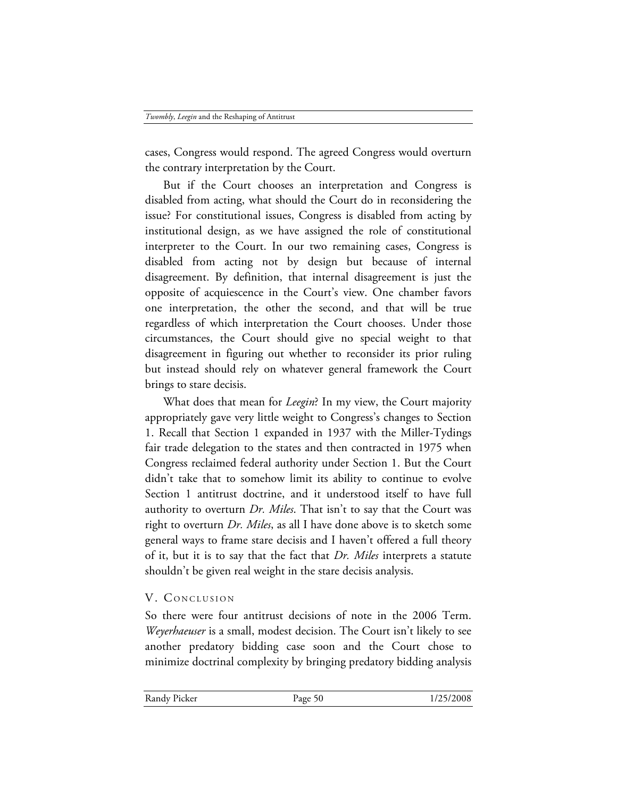cases, Congress would respond. The agreed Congress would overturn the contrary interpretation by the Court.

But if the Court chooses an interpretation and Congress is disabled from acting, what should the Court do in reconsidering the issue? For constitutional issues, Congress is disabled from acting by institutional design, as we have assigned the role of constitutional interpreter to the Court. In our two remaining cases, Congress is disabled from acting not by design but because of internal disagreement. By definition, that internal disagreement is just the opposite of acquiescence in the Court's view. One chamber favors one interpretation, the other the second, and that will be true regardless of which interpretation the Court chooses. Under those circumstances, the Court should give no special weight to that disagreement in figuring out whether to reconsider its prior ruling but instead should rely on whatever general framework the Court brings to stare decisis.

What does that mean for *Leegin*? In my view, the Court majority appropriately gave very little weight to Congress's changes to Section 1. Recall that Section 1 expanded in 1937 with the Miller-Tydings fair trade delegation to the states and then contracted in 1975 when Congress reclaimed federal authority under Section 1. But the Court didn't take that to somehow limit its ability to continue to evolve Section 1 antitrust doctrine, and it understood itself to have full authority to overturn *Dr. Miles*. That isn't to say that the Court was right to overturn *Dr. Miles*, as all I have done above is to sketch some general ways to frame stare decisis and I haven't offered a full theory of it, but it is to say that the fact that *Dr. Miles* interprets a statute shouldn't be given real weight in the stare decisis analysis.

#### V. CONCLUSION

So there were four antitrust decisions of note in the 2006 Term. *Weyerhaeuser* is a small, modest decision. The Court isn't likely to see another predatory bidding case soon and the Court chose to minimize doctrinal complexity by bringing predatory bidding analysis

| Randy Picker | Page 50 | 1/25/2008 |
|--------------|---------|-----------|
|--------------|---------|-----------|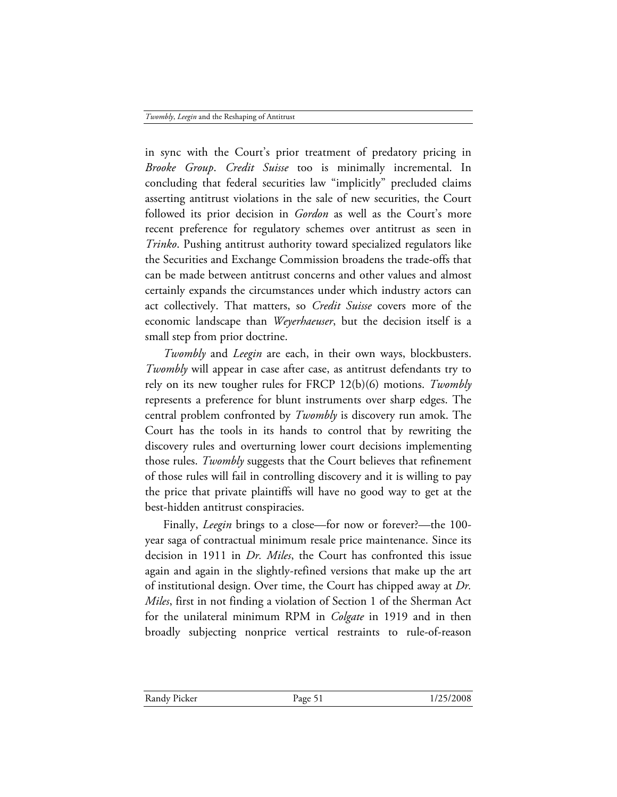in sync with the Court's prior treatment of predatory pricing in *Brooke Group*. *Credit Suisse* too is minimally incremental. In concluding that federal securities law "implicitly" precluded claims asserting antitrust violations in the sale of new securities, the Court followed its prior decision in *Gordon* as well as the Court's more recent preference for regulatory schemes over antitrust as seen in *Trinko*. Pushing antitrust authority toward specialized regulators like the Securities and Exchange Commission broadens the trade-offs that can be made between antitrust concerns and other values and almost certainly expands the circumstances under which industry actors can act collectively. That matters, so *Credit Suisse* covers more of the economic landscape than *Weyerhaeuser*, but the decision itself is a small step from prior doctrine.

*Twombly* and *Leegin* are each, in their own ways, blockbusters. *Twombly* will appear in case after case, as antitrust defendants try to rely on its new tougher rules for FRCP 12(b)(6) motions. *Twombly* represents a preference for blunt instruments over sharp edges. The central problem confronted by *Twombly* is discovery run amok. The Court has the tools in its hands to control that by rewriting the discovery rules and overturning lower court decisions implementing those rules. *Twombly* suggests that the Court believes that refinement of those rules will fail in controlling discovery and it is willing to pay the price that private plaintiffs will have no good way to get at the best-hidden antitrust conspiracies.

Finally, *Leegin* brings to a close—for now or forever?—the 100year saga of contractual minimum resale price maintenance. Since its decision in 1911 in *Dr. Miles*, the Court has confronted this issue again and again in the slightly-refined versions that make up the art of institutional design. Over time, the Court has chipped away at *Dr. Miles*, first in not finding a violation of Section 1 of the Sherman Act for the unilateral minimum RPM in *Colgate* in 1919 and in then broadly subjecting nonprice vertical restraints to rule-of-reason

| Randy Picker | Page 51 | 1/25/2008 |
|--------------|---------|-----------|
|--------------|---------|-----------|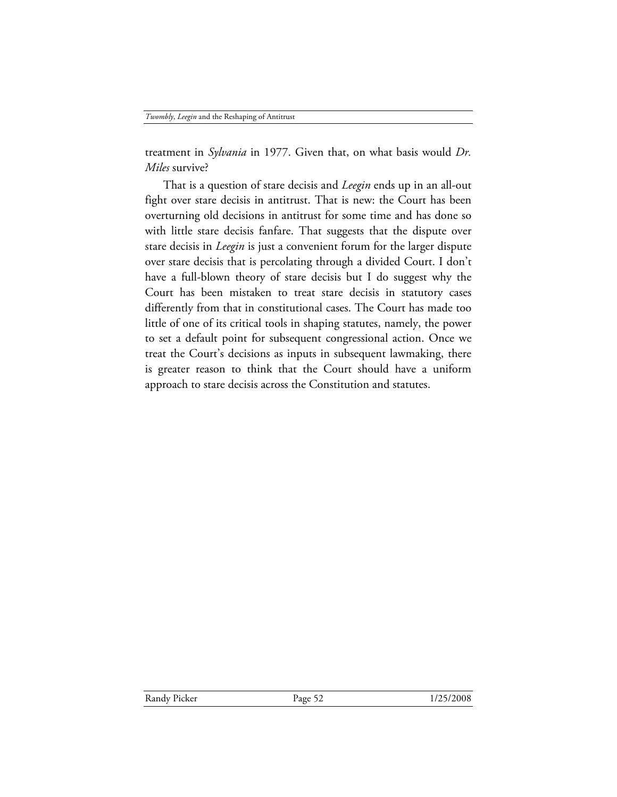treatment in *Sylvania* in 1977. Given that, on what basis would *Dr. Miles* survive?

That is a question of stare decisis and *Leegin* ends up in an all-out fight over stare decisis in antitrust. That is new: the Court has been overturning old decisions in antitrust for some time and has done so with little stare decisis fanfare. That suggests that the dispute over stare decisis in *Leegin* is just a convenient forum for the larger dispute over stare decisis that is percolating through a divided Court. I don't have a full-blown theory of stare decisis but I do suggest why the Court has been mistaken to treat stare decisis in statutory cases differently from that in constitutional cases. The Court has made too little of one of its critical tools in shaping statutes, namely, the power to set a default point for subsequent congressional action. Once we treat the Court's decisions as inputs in subsequent lawmaking, there is greater reason to think that the Court should have a uniform approach to stare decisis across the Constitution and statutes.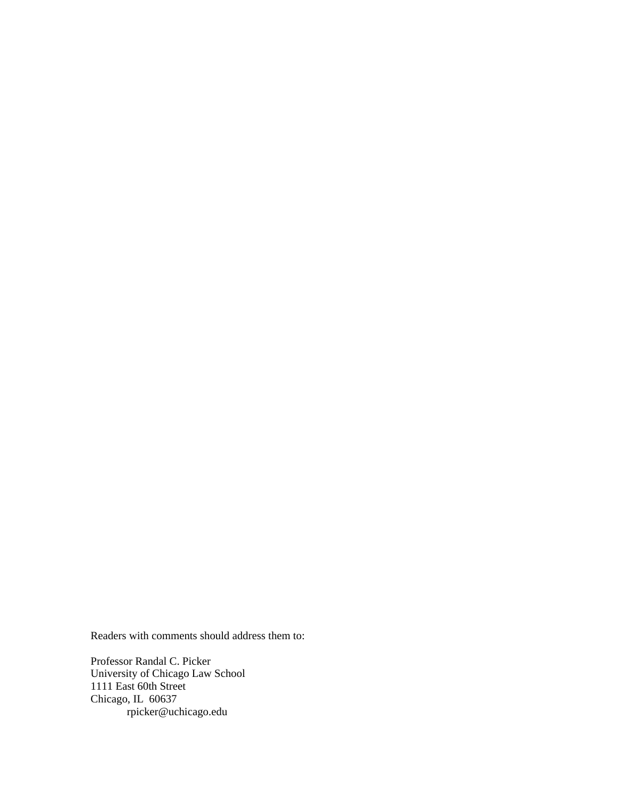Readers with comments should address them to:

Professor Randal C. Picker University of Chicago Law School 1111 East 60th Street Chicago, IL 60637 rpicker@uchicago.edu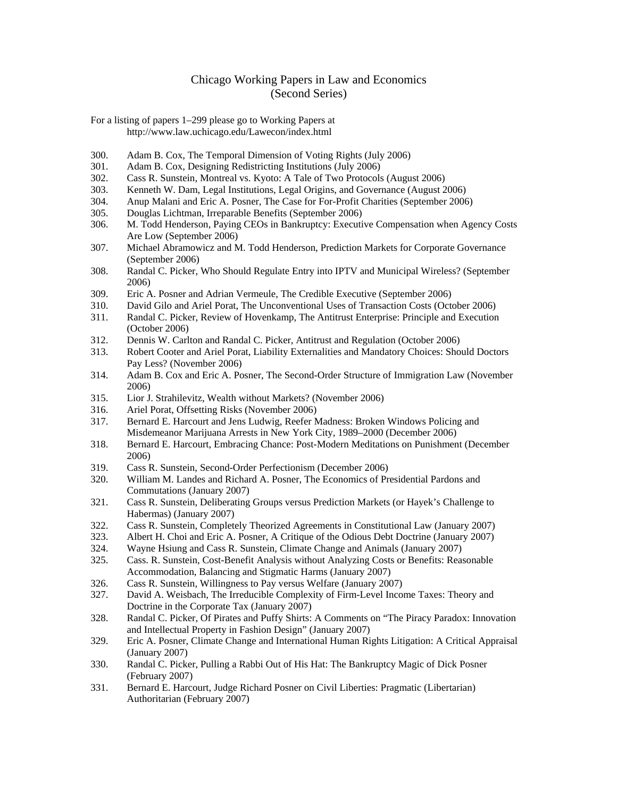#### Chicago Working Papers in Law and Economics (Second Series)

For a listing of papers 1–299 please go to Working Papers at http://www.law.uchicago.edu/Lawecon/index.html

- 300. Adam B. Cox, The Temporal Dimension of Voting Rights (July 2006)
- 301. Adam B. Cox, Designing Redistricting Institutions (July 2006)
- 302. Cass R. Sunstein, Montreal vs. Kyoto: A Tale of Two Protocols (August 2006)
- 303. Kenneth W. Dam, Legal Institutions, Legal Origins, and Governance (August 2006)
- 304. Anup Malani and Eric A. Posner, The Case for For-Profit Charities (September 2006)
- 305. Douglas Lichtman, Irreparable Benefits (September 2006)
- 306. M. Todd Henderson, Paying CEOs in Bankruptcy: Executive Compensation when Agency Costs Are Low (September 2006)
- 307. Michael Abramowicz and M. Todd Henderson, Prediction Markets for Corporate Governance (September 2006)
- 308. Randal C. Picker, Who Should Regulate Entry into IPTV and Municipal Wireless? (September 2006)
- 309. Eric A. Posner and Adrian Vermeule, The Credible Executive (September 2006)
- 310. David Gilo and Ariel Porat, The Unconventional Uses of Transaction Costs (October 2006)
- 311. Randal C. Picker, Review of Hovenkamp, The Antitrust Enterprise: Principle and Execution (October 2006)
- 312. Dennis W. Carlton and Randal C. Picker, Antitrust and Regulation (October 2006)
- 313. Robert Cooter and Ariel Porat, Liability Externalities and Mandatory Choices: Should Doctors Pay Less? (November 2006)
- 314. Adam B. Cox and Eric A. Posner, The Second-Order Structure of Immigration Law (November 2006)
- 315. Lior J. Strahilevitz, Wealth without Markets? (November 2006)
- 316. Ariel Porat, Offsetting Risks (November 2006)
- 317. Bernard E. Harcourt and Jens Ludwig, Reefer Madness: Broken Windows Policing and Misdemeanor Marijuana Arrests in New York City, 1989–2000 (December 2006)
- 318. Bernard E. Harcourt, Embracing Chance: Post-Modern Meditations on Punishment (December 2006)
- 319. Cass R. Sunstein, Second-Order Perfectionism (December 2006)
- 320. William M. Landes and Richard A. Posner, The Economics of Presidential Pardons and Commutations (January 2007)
- 321. Cass R. Sunstein, Deliberating Groups versus Prediction Markets (or Hayek's Challenge to Habermas) (January 2007)
- 322. Cass R. Sunstein, Completely Theorized Agreements in Constitutional Law (January 2007)
- 323. Albert H. Choi and Eric A. Posner, A Critique of the Odious Debt Doctrine (January 2007)
- 324. Wayne Hsiung and Cass R. Sunstein, Climate Change and Animals (January 2007)
- 325. Cass. R. Sunstein, Cost-Benefit Analysis without Analyzing Costs or Benefits: Reasonable Accommodation, Balancing and Stigmatic Harms (January 2007)
- 326. Cass R. Sunstein, Willingness to Pay versus Welfare (January 2007)
- 327. David A. Weisbach, The Irreducible Complexity of Firm-Level Income Taxes: Theory and Doctrine in the Corporate Tax (January 2007)
- 328. Randal C. Picker, Of Pirates and Puffy Shirts: A Comments on "The Piracy Paradox: Innovation and Intellectual Property in Fashion Design" (January 2007)
- 329. Eric A. Posner, Climate Change and International Human Rights Litigation: A Critical Appraisal (January 2007)
- 330. Randal C. Picker, Pulling a Rabbi Out of His Hat: The Bankruptcy Magic of Dick Posner (February 2007)
- 331. Bernard E. Harcourt, Judge Richard Posner on Civil Liberties: Pragmatic (Libertarian) Authoritarian (February 2007)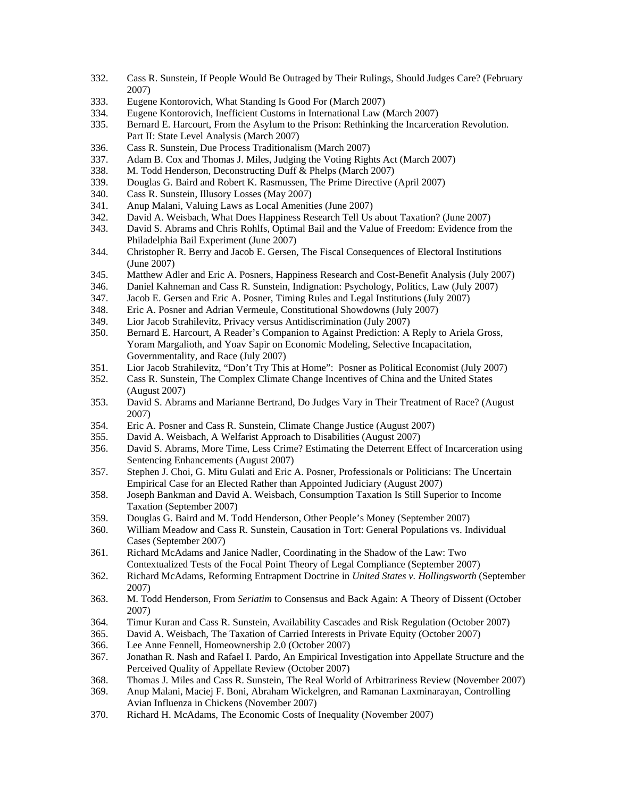- 332. Cass R. Sunstein, If People Would Be Outraged by Their Rulings, Should Judges Care? (February 2007)
- 333. Eugene Kontorovich, What Standing Is Good For (March 2007)
- 334. Eugene Kontorovich, Inefficient Customs in International Law (March 2007)
- 335. Bernard E. Harcourt, From the Asylum to the Prison: Rethinking the Incarceration Revolution. Part II: State Level Analysis (March 2007)
- 336. Cass R. Sunstein, Due Process Traditionalism (March 2007)
- 337. Adam B. Cox and Thomas J. Miles, Judging the Voting Rights Act (March 2007)
- 338. M. Todd Henderson, Deconstructing Duff & Phelps (March 2007)
- 339. Douglas G. Baird and Robert K. Rasmussen, The Prime Directive (April 2007)
- 340. Cass R. Sunstein, Illusory Losses (May 2007)
- 341. Anup Malani, Valuing Laws as Local Amenities (June 2007)
- 342. David A. Weisbach, What Does Happiness Research Tell Us about Taxation? (June 2007)
- 343. David S. Abrams and Chris Rohlfs, Optimal Bail and the Value of Freedom: Evidence from the Philadelphia Bail Experiment (June 2007)
- 344. Christopher R. Berry and Jacob E. Gersen, The Fiscal Consequences of Electoral Institutions (June 2007)
- 345. Matthew Adler and Eric A. Posners, Happiness Research and Cost-Benefit Analysis (July 2007)
- 346. Daniel Kahneman and Cass R. Sunstein, Indignation: Psychology, Politics, Law (July 2007)
- 347. Jacob E. Gersen and Eric A. Posner, Timing Rules and Legal Institutions (July 2007)
- 348. Eric A. Posner and Adrian Vermeule, Constitutional Showdowns (July 2007)
- 349. Lior Jacob Strahilevitz, Privacy versus Antidiscrimination (July 2007)
- 350. Bernard E. Harcourt, A Reader's Companion to Against Prediction: A Reply to Ariela Gross, Yoram Margalioth, and Yoav Sapir on Economic Modeling, Selective Incapacitation, Governmentality, and Race (July 2007)
- 351. Lior Jacob Strahilevitz, "Don't Try This at Home": Posner as Political Economist (July 2007)
- 352. Cass R. Sunstein, The Complex Climate Change Incentives of China and the United States (August 2007)
- 353. David S. Abrams and Marianne Bertrand, Do Judges Vary in Their Treatment of Race? (August 2007)
- 354. Eric A. Posner and Cass R. Sunstein, Climate Change Justice (August 2007)
- 355. David A. Weisbach, A Welfarist Approach to Disabilities (August 2007)
- 356. David S. Abrams, More Time, Less Crime? Estimating the Deterrent Effect of Incarceration using Sentencing Enhancements (August 2007)
- 357. Stephen J. Choi, G. Mitu Gulati and Eric A. Posner, Professionals or Politicians: The Uncertain Empirical Case for an Elected Rather than Appointed Judiciary (August 2007)
- 358. Joseph Bankman and David A. Weisbach, Consumption Taxation Is Still Superior to Income Taxation (September 2007)
- 359. Douglas G. Baird and M. Todd Henderson, Other People's Money (September 2007)
- 360. William Meadow and Cass R. Sunstein, Causation in Tort: General Populations vs. Individual Cases (September 2007)
- 361. Richard McAdams and Janice Nadler, Coordinating in the Shadow of the Law: Two Contextualized Tests of the Focal Point Theory of Legal Compliance (September 2007)
- 362. Richard McAdams, Reforming Entrapment Doctrine in *United States v. Hollingsworth* (September 2007)
- 363. M. Todd Henderson, From *Seriatim* to Consensus and Back Again: A Theory of Dissent (October 2007)
- 364. Timur Kuran and Cass R. Sunstein, Availability Cascades and Risk Regulation (October 2007)
- 365. David A. Weisbach, The Taxation of Carried Interests in Private Equity (October 2007)
- 366. Lee Anne Fennell, Homeownership 2.0 (October 2007)
- 367. Jonathan R. Nash and Rafael I. Pardo, An Empirical Investigation into Appellate Structure and the Perceived Quality of Appellate Review (October 2007)
- 368. Thomas J. Miles and Cass R. Sunstein, The Real World of Arbitrariness Review (November 2007)
- 369. Anup Malani, Maciej F. Boni, Abraham Wickelgren, and Ramanan Laxminarayan, Controlling Avian Influenza in Chickens (November 2007)
- 370. Richard H. McAdams, The Economic Costs of Inequality (November 2007)